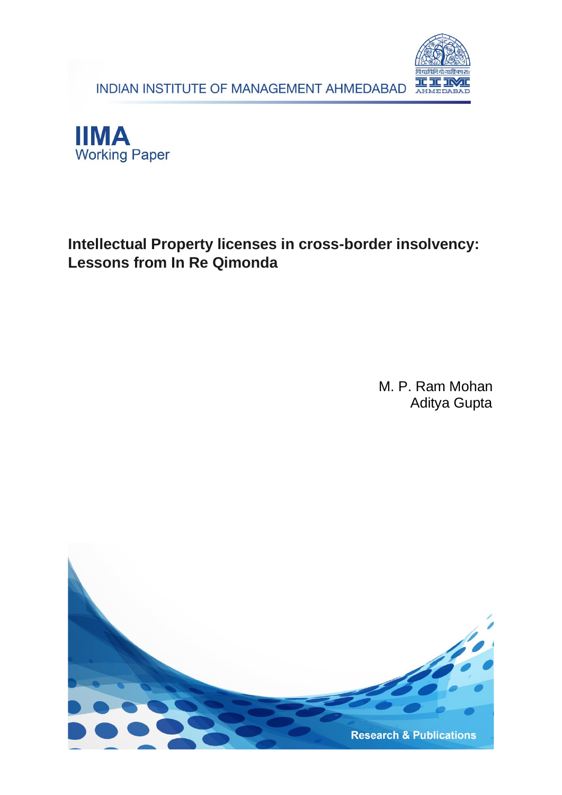





## **Intellectual Property licenses in cross-border insolvency: Lessons from In Re Qimonda**

M. P. Ram Mohan Aditya Gupta

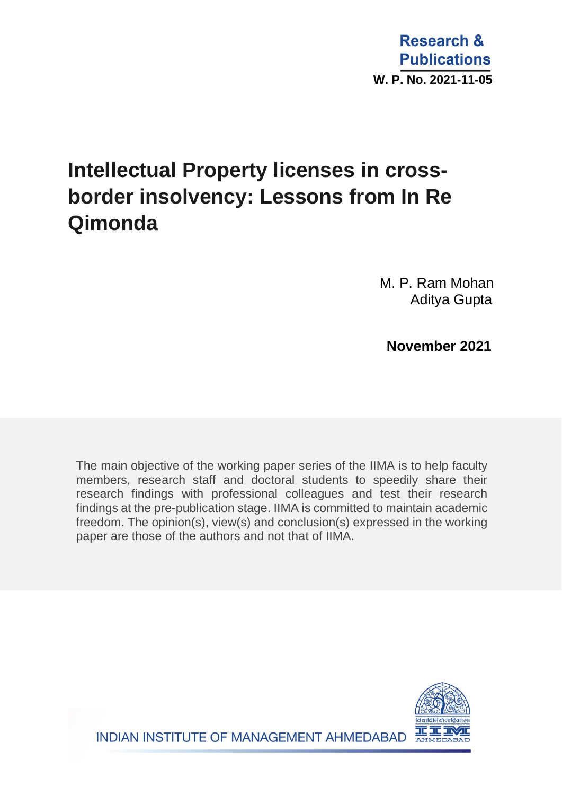Research & **Publications W. P. No. 2021-11-05**

# **Intellectual Property licenses in crossborder insolvency: Lessons from In Re Qimonda**

M. P. Ram Mohan Aditya Gupta

 **November 2021**

The main objective of the working paper series of the IIMA is to help faculty members, research staff and doctoral students to speedily share their research findings with professional colleagues and test their research findings at the pre-publication stage. IIMA is committed to maintain academic freedom. The opinion(s), view(s) and conclusion(s) expressed in the working paper are those of the authors and not that of IIMA.

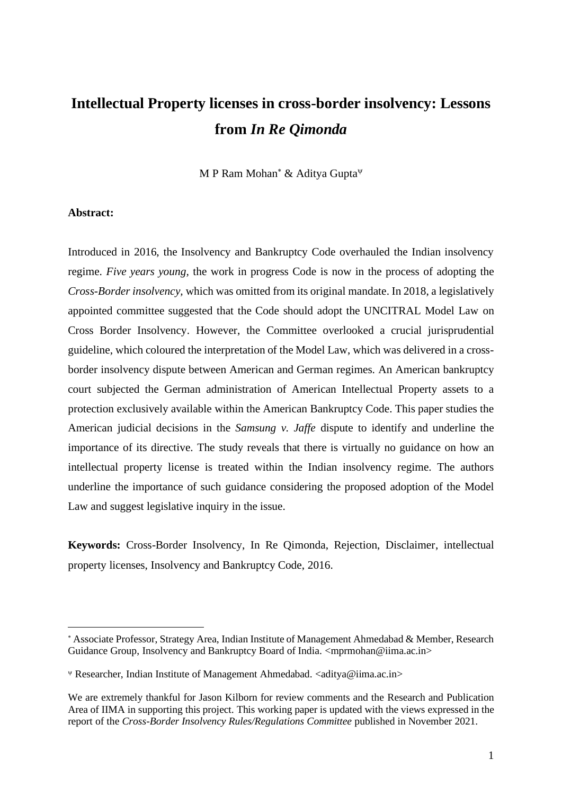## **Intellectual Property licenses in cross-border insolvency: Lessons from** *In Re Qimonda*

M P Ram Mohan<sup>\*</sup> & Aditya Gupta<sup> $\psi$ </sup>

#### **Abstract:**

Introduced in 2016, the Insolvency and Bankruptcy Code overhauled the Indian insolvency regime. *Five years young,* the work in progress Code is now in the process of adopting the *Cross-Border insolvency,* which was omitted from its original mandate. In 2018, a legislatively appointed committee suggested that the Code should adopt the UNCITRAL Model Law on Cross Border Insolvency. However, the Committee overlooked a crucial jurisprudential guideline, which coloured the interpretation of the Model Law, which was delivered in a crossborder insolvency dispute between American and German regimes. An American bankruptcy court subjected the German administration of American Intellectual Property assets to a protection exclusively available within the American Bankruptcy Code. This paper studies the American judicial decisions in the *Samsung v. Jaffe* dispute to identify and underline the importance of its directive. The study reveals that there is virtually no guidance on how an intellectual property license is treated within the Indian insolvency regime. The authors underline the importance of such guidance considering the proposed adoption of the Model Law and suggest legislative inquiry in the issue.

**Keywords:** Cross-Border Insolvency, In Re Qimonda, Rejection, Disclaimer, intellectual property licenses, Insolvency and Bankruptcy Code, 2016.

Associate Professor, Strategy Area, Indian Institute of Management Ahmedabad & Member, Research Guidance Group, Insolvency and Bankruptcy Board of India. <mprmohan@iima.ac.in>

Researcher, Indian Institute of Management Ahmedabad. <aditya@iima.ac.in>

We are extremely thankful for Jason Kilborn for review comments and the Research and Publication Area of IIMA in supporting this project. This working paper is updated with the views expressed in the report of the *Cross-Border Insolvency Rules/Regulations Committee* published in November 2021.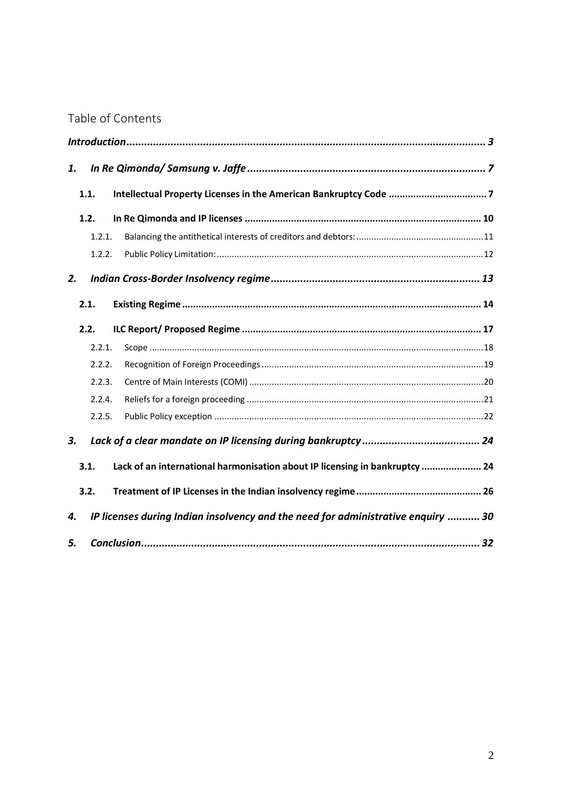### Table of Contents

| 1. |        |                                                                                  |  |
|----|--------|----------------------------------------------------------------------------------|--|
|    | 1.1.   |                                                                                  |  |
|    | 1.2.   |                                                                                  |  |
|    | 1.2.1. |                                                                                  |  |
|    | 1.2.2. |                                                                                  |  |
| 2. |        |                                                                                  |  |
|    | 2.1.   |                                                                                  |  |
|    | 2.2.   |                                                                                  |  |
|    | 2.2.1. |                                                                                  |  |
|    | 2.2.2. |                                                                                  |  |
|    | 2.2.3. |                                                                                  |  |
|    | 2.2.4. |                                                                                  |  |
|    | 2.2.5. |                                                                                  |  |
| 3. |        |                                                                                  |  |
|    | 3.1.   | Lack of an international harmonisation about IP licensing in bankruptcy  24      |  |
|    | 3.2.   |                                                                                  |  |
| 4. |        | IP licenses during Indian insolvency and the need for administrative enquiry  30 |  |
| 5. |        |                                                                                  |  |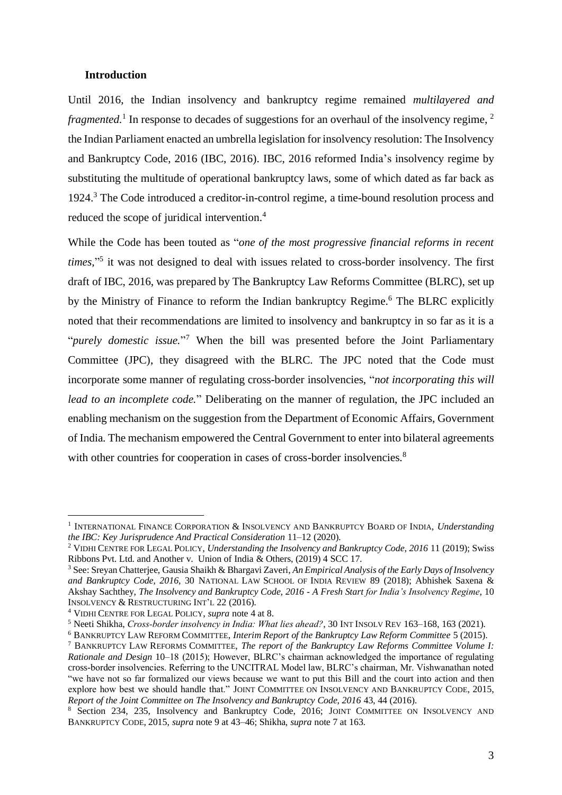#### <span id="page-4-0"></span>**Introduction**

Until 2016, the Indian insolvency and bankruptcy regime remained *multilayered and fragmented.*<sup>1</sup> In response to decades of suggestions for an overhaul of the insolvency regime, <sup>2</sup> the Indian Parliament enacted an umbrella legislation for insolvency resolution: The Insolvency and Bankruptcy Code, 2016 (IBC, 2016). IBC, 2016 reformed India's insolvency regime by substituting the multitude of operational bankruptcy laws, some of which dated as far back as 1924. <sup>3</sup> The Code introduced a creditor-in-control regime, a time-bound resolution process and reduced the scope of juridical intervention.<sup>4</sup>

While the Code has been touted as "*one of the most progressive financial reforms in recent times,*" 5 it was not designed to deal with issues related to cross-border insolvency. The first draft of IBC, 2016, was prepared by The Bankruptcy Law Reforms Committee (BLRC), set up by the Ministry of Finance to reform the Indian bankruptcy Regime.<sup>6</sup> The BLRC explicitly noted that their recommendations are limited to insolvency and bankruptcy in so far as it is a "*purely domestic issue*."<sup>7</sup> When the bill was presented before the Joint Parliamentary Committee (JPC), they disagreed with the BLRC. The JPC noted that the Code must incorporate some manner of regulating cross-border insolvencies, "*not incorporating this will lead to an incomplete code.*" Deliberating on the manner of regulation, the JPC included an enabling mechanism on the suggestion from the Department of Economic Affairs, Government of India*.* The mechanism empowered the Central Government to enter into bilateral agreements with other countries for cooperation in cases of cross-border insolvencies.<sup>8</sup>

<sup>&</sup>lt;sup>1</sup> INTERNATIONAL FINANCE CORPORATION & INSOLVENCY AND BANKRUPTCY BOARD OF INDIA, *Understanding the IBC: Key Jurisprudence And Practical Consideration* 11–12 (2020).

<sup>2</sup> VIDHI CENTRE FOR LEGAL POLICY, *Understanding the Insolvency and Bankruptcy Code, 2016* 11 (2019); Swiss Ribbons Pvt. Ltd. and Another v. Union of India & Others, (2019) 4 SCC 17.

<sup>3</sup> See: Sreyan Chatterjee, Gausia Shaikh & Bhargavi Zaveri, *An Empirical Analysis of the Early Days of Insolvency and Bankruptcy Code, 2016*, 30 NATIONAL LAW SCHOOL OF INDIA REVIEW 89 (2018); Abhishek Saxena & Akshay Sachthey, *The Insolvency and Bankruptcy Code, 2016 - A Fresh Start for India's Insolvency Regime*, 10 INSOLVENCY & RESTRUCTURING INT'L 22 (2016).

<sup>4</sup> VIDHI CENTRE FOR LEGAL POLICY, *supra* note 4 at 8.

<sup>5</sup> Neeti Shikha, *Cross‐border insolvency in India: What lies ahead?*, 30 INT INSOLV REV 163–168, 163 (2021).

<sup>6</sup> BANKRUPTCY LAW REFORM COMMITTEE, *Interim Report of the Bankruptcy Law Reform Committee* 5 (2015).

<sup>7</sup> BANKRUPTCY LAW REFORMS COMMITTEE, *The report of the Bankruptcy Law Reforms Committee Volume I: Rationale and Design* 10–18 (2015); However, BLRC's chairman acknowledged the importance of regulating cross-border insolvencies. Referring to the UNCITRAL Model law, BLRC's chairman, Mr. Vishwanathan noted "we have not so far formalized our views because we want to put this Bill and the court into action and then explore how best we should handle that." JOINT COMMITTEE ON INSOLVENCY AND BANKRUPTCY CODE, 2015, *Report of the Joint Committee on The Insolvency and Bankruptcy Code, 2016* 43, 44 (2016).

<sup>8</sup> Section 234, 235, Insolvency and Bankruptcy Code, 2016; JOINT COMMITTEE ON INSOLVENCY AND BANKRUPTCY CODE, 2015, *supra* note 9 at 43–46; Shikha, *supra* note 7 at 163.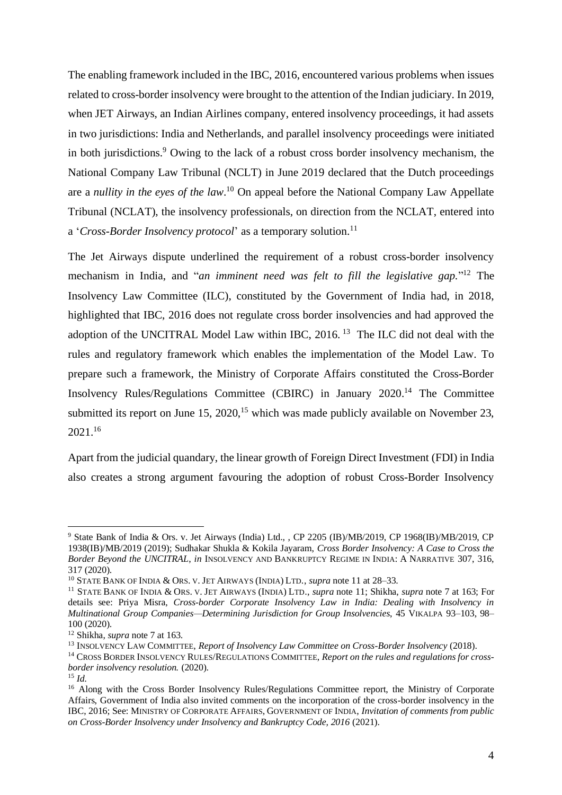The enabling framework included in the IBC, 2016, encountered various problems when issues related to cross-border insolvency were brought to the attention of the Indian judiciary. In 2019, when JET Airways, an Indian Airlines company, entered insolvency proceedings, it had assets in two jurisdictions: India and Netherlands, and parallel insolvency proceedings were initiated in both jurisdictions.<sup>9</sup> Owing to the lack of a robust cross border insolvency mechanism, the National Company Law Tribunal (NCLT) in June 2019 declared that the Dutch proceedings are a *nullity in the eyes of the law*. <sup>10</sup> On appeal before the National Company Law Appellate Tribunal (NCLAT), the insolvency professionals, on direction from the NCLAT, entered into a '*Cross-Border Insolvency protocol*' as a temporary solution.<sup>11</sup>

The Jet Airways dispute underlined the requirement of a robust cross-border insolvency mechanism in India, and "*an imminent need was felt to fill the legislative gap*."<sup>12</sup> The Insolvency Law Committee (ILC), constituted by the Government of India had, in 2018, highlighted that IBC, 2016 does not regulate cross border insolvencies and had approved the adoption of the UNCITRAL Model Law within IBC, 2016. <sup>13</sup> The ILC did not deal with the rules and regulatory framework which enables the implementation of the Model Law. To prepare such a framework, the Ministry of Corporate Affairs constituted the Cross-Border Insolvency Rules/Regulations Committee (CBIRC) in January 2020. <sup>14</sup> The Committee submitted its report on June 15, 2020,<sup>15</sup> which was made publicly available on November 23, 2021.<sup>16</sup>

Apart from the judicial quandary, the linear growth of Foreign Direct Investment (FDI) in India also creates a strong argument favouring the adoption of robust Cross-Border Insolvency

<sup>9</sup> State Bank of India & Ors. v. Jet Airways (India) Ltd., , CP 2205 (IB)/MB/2019, CP 1968(IB)/MB/2019, CP 1938(IB)/MB/2019 (2019); Sudhakar Shukla & Kokila Jayaram, *Cross Border Insolvency: A Case to Cross the Border Beyond the UNCITRAL*, *in* INSOLVENCY AND BANKRUPTCY REGIME IN INDIA: A NARRATIVE 307, 316, 317 (2020).

<sup>10</sup> STATE BANK OF INDIA & ORS. V. JET AIRWAYS (INDIA) LTD., *supra* note 11 at 28–33.

<sup>11</sup> STATE BANK OF INDIA & ORS. V. JET AIRWAYS (INDIA) LTD., *supra* note 11; Shikha, *supra* note 7 at 163; For details see: Priya Misra, *Cross-border Corporate Insolvency Law in India: Dealing with Insolvency in Multinational Group Companies—Determining Jurisdiction for Group Insolvencies*, 45 VIKALPA 93–103, 98– 100 (2020).

<sup>12</sup> Shikha, *supra* note 7 at 163.

<sup>13</sup> INSOLVENCY LAW COMMITTEE, *Report of Insolvency Law Committee on Cross-Border Insolvency* (2018).

<sup>14</sup> CROSS BORDER INSOLVENCY RULES/REGULATIONS COMMITTEE, *Report on the rules and regulations for crossborder insolvency resolution.* (2020).

<sup>15</sup> *Id.*

<sup>&</sup>lt;sup>16</sup> Along with the Cross Border Insolvency Rules/Regulations Committee report, the Ministry of Corporate Affairs, Government of India also invited comments on the incorporation of the cross-border insolvency in the IBC, 2016; See: MINISTRY OF CORPORATE AFFAIRS, GOVERNMENT OF INDIA, *Invitation of comments from public on Cross-Border Insolvency under Insolvency and Bankruptcy Code, 2016* (2021).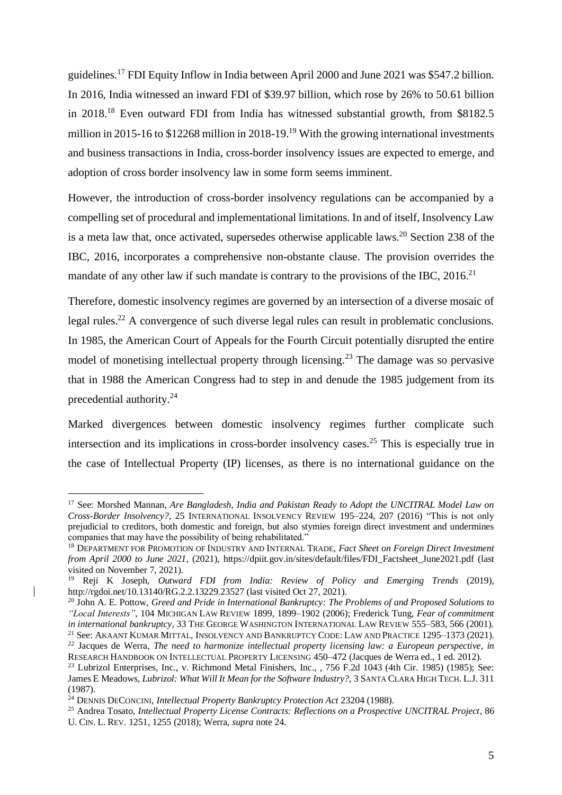guidelines.<sup>17</sup> FDI Equity Inflow in India between April 2000 and June 2021 was \$547.2 billion. In 2016, India witnessed an inward FDI of \$39.97 billion, which rose by 26% to 50.61 billion in 2018.<sup>18</sup> Even outward FDI from India has witnessed substantial growth, from \$8182.5 million in 2015-16 to \$12268 million in 2018-19.<sup>19</sup> With the growing international investments and business transactions in India, cross-border insolvency issues are expected to emerge, and adoption of cross border insolvency law in some form seems imminent.

However, the introduction of cross-border insolvency regulations can be accompanied by a compelling set of procedural and implementational limitations. In and of itself, Insolvency Law is a meta law that, once activated, supersedes otherwise applicable laws.<sup>20</sup> Section 238 of the IBC, 2016, incorporates a comprehensive non-obstante clause. The provision overrides the mandate of any other law if such mandate is contrary to the provisions of the IBC, 2016.<sup>21</sup>

Therefore, domestic insolvency regimes are governed by an intersection of a diverse mosaic of legal rules.<sup>22</sup> A convergence of such diverse legal rules can result in problematic conclusions. In 1985, the American Court of Appeals for the Fourth Circuit potentially disrupted the entire model of monetising intellectual property through licensing.<sup>23</sup> The damage was so pervasive that in 1988 the American Congress had to step in and denude the 1985 judgement from its precedential authority.<sup>24</sup>

Marked divergences between domestic insolvency regimes further complicate such intersection and its implications in cross-border insolvency cases. <sup>25</sup> This is especially true in the case of Intellectual Property (IP) licenses, as there is no international guidance on the

<sup>17</sup> See: Morshed Mannan, *Are Bangladesh, India and Pakistan Ready to Adopt the UNCITRAL Model Law on Cross-Border Insolvency?*, 25 INTERNATIONAL INSOLVENCY REVIEW 195–224, 207 (2016) "This is not only prejudicial to creditors, both domestic and foreign, but also stymies foreign direct investment and undermines companies that may have the possibility of being rehabilitated."

<sup>18</sup> DEPARTMENT FOR PROMOTION OF INDUSTRY AND INTERNAL TRADE, *Fact Sheet on Foreign Direct Investment from April 2000 to June 2021*, (2021), https://dpiit.gov.in/sites/default/files/FDI\_Factsheet\_June2021.pdf (last visited on November 7, 2021).

<sup>19</sup> Reji K Joseph, *Outward FDI from India: Review of Policy and Emerging Trends* (2019), http://rgdoi.net/10.13140/RG.2.2.13229.23527 (last visited Oct 27, 2021).

<sup>20</sup> John A. E. Pottow, *Greed and Pride in International Bankruptcy: The Problems of and Proposed Solutions to "Local Interests"*, 104 MICHIGAN LAW REVIEW 1899, 1899–1902 (2006); Frederick Tung, *Fear of commitment in international bankruptcy*, 33 THE GEORGE WASHINGTON INTERNATIONAL LAW REVIEW 555–583, 566 (2001). <sup>21</sup> See: AKAANT KUMAR MITTAL, INSOLVENCY AND BANKRUPTCY CODE: LAW AND PRACTICE 1295-1373 (2021).

<sup>22</sup> Jacques de Werra, *The need to harmonize intellectual property licensing law: a European perspective*, *in* RESEARCH HANDBOOK ON INTELLECTUAL PROPERTY LICENSING 450–472 (Jacques de Werra ed., 1 ed. 2012).

<sup>&</sup>lt;sup>23</sup> Lubrizol Enterprises, Inc., v. Richmond Metal Finishers, Inc., , 756 F.2d 1043 (4th Cir. 1985) (1985); See: James E Meadows, *Lubrizol: What Will It Mean for the Software Industry?*, 3 SANTA CLARA HIGH TECH. L.J. 311 (1987).

<sup>24</sup> DENNIS DECONCINI, *Intellectual Property Bankruptcy Protection Act* 23204 (1988).

<sup>&</sup>lt;sup>25</sup> Andrea Tosato, *Intellectual Property License Contracts: Reflections on a Prospective UNCITRAL Project*, 86 U. CIN. L. REV. 1251, 1255 (2018); Werra, *supra* note 24.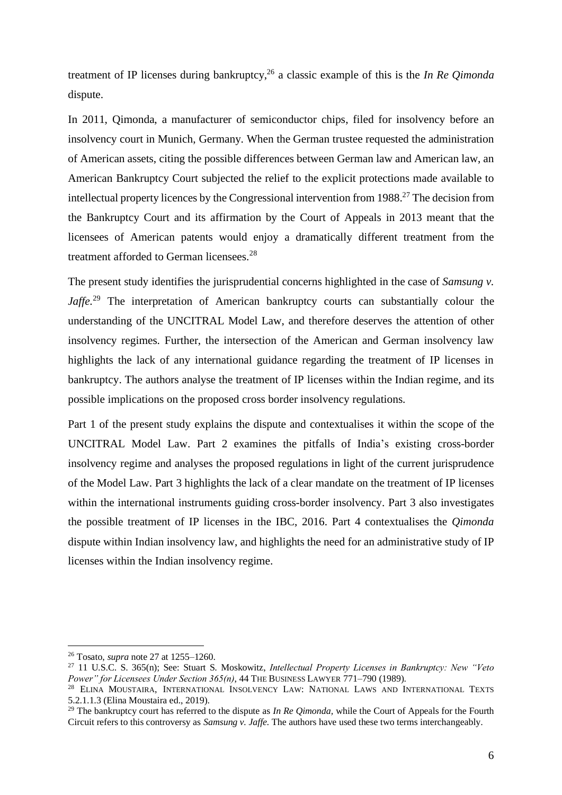treatment of IP licenses during bankruptcy, <sup>26</sup> a classic example of this is the *In Re Qimonda*  dispute.

In 2011, Qimonda, a manufacturer of semiconductor chips, filed for insolvency before an insolvency court in Munich, Germany. When the German trustee requested the administration of American assets, citing the possible differences between German law and American law, an American Bankruptcy Court subjected the relief to the explicit protections made available to intellectual property licences by the Congressional intervention from 1988.<sup>27</sup> The decision from the Bankruptcy Court and its affirmation by the Court of Appeals in 2013 meant that the licensees of American patents would enjoy a dramatically different treatment from the treatment afforded to German licensees.<sup>28</sup>

The present study identifies the jurisprudential concerns highlighted in the case of *Samsung v.*  Jaffe.<sup>29</sup> The interpretation of American bankruptcy courts can substantially colour the understanding of the UNCITRAL Model Law, and therefore deserves the attention of other insolvency regimes. Further, the intersection of the American and German insolvency law highlights the lack of any international guidance regarding the treatment of IP licenses in bankruptcy. The authors analyse the treatment of IP licenses within the Indian regime, and its possible implications on the proposed cross border insolvency regulations.

Part 1 of the present study explains the dispute and contextualises it within the scope of the UNCITRAL Model Law. Part 2 examines the pitfalls of India's existing cross-border insolvency regime and analyses the proposed regulations in light of the current jurisprudence of the Model Law. Part 3 highlights the lack of a clear mandate on the treatment of IP licenses within the international instruments guiding cross-border insolvency. Part 3 also investigates the possible treatment of IP licenses in the IBC, 2016. Part 4 contextualises the *Qimonda*  dispute within Indian insolvency law, and highlights the need for an administrative study of IP licenses within the Indian insolvency regime.

<sup>26</sup> Tosato, *supra* note 27 at 1255–1260.

<sup>27</sup> 11 U.S.C. S. 365(n); See: Stuart S. Moskowitz, *Intellectual Property Licenses in Bankruptcy: New "Veto Power" for Licensees Under Section 365(n)*, 44 THE BUSINESS LAWYER 771–790 (1989).

<sup>&</sup>lt;sup>28</sup> ELINA MOUSTAIRA, INTERNATIONAL INSOLVENCY LAW: NATIONAL LAWS AND INTERNATIONAL TEXTS 5.2.1.1.3 (Elina Moustaira ed., 2019).

<sup>29</sup> The bankruptcy court has referred to the dispute as *In Re Qimonda,* while the Court of Appeals for the Fourth Circuit refers to this controversy as *Samsung v. Jaffe.* The authors have used these two terms interchangeably.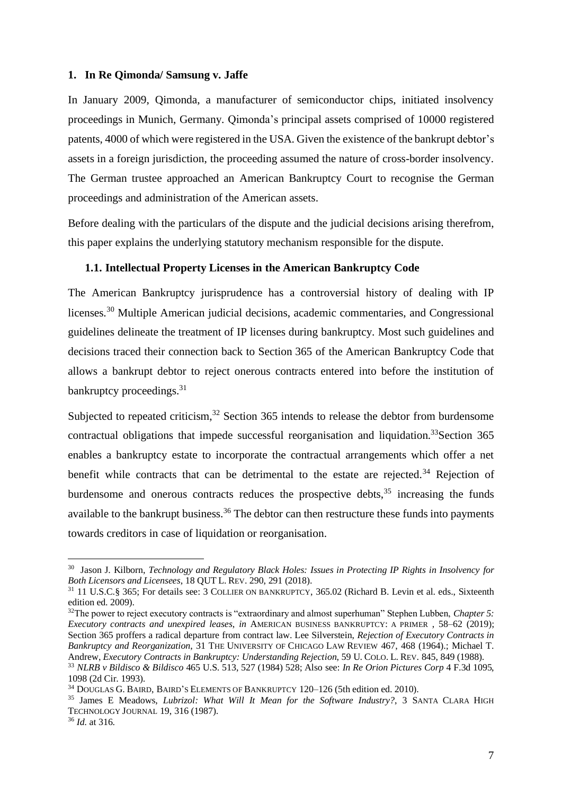#### <span id="page-8-0"></span>**1. In Re Qimonda/ Samsung v. Jaffe**

In January 2009, Qimonda, a manufacturer of semiconductor chips, initiated insolvency proceedings in Munich, Germany. Qimonda's principal assets comprised of 10000 registered patents, 4000 of which were registered in the USA. Given the existence of the bankrupt debtor's assets in a foreign jurisdiction, the proceeding assumed the nature of cross-border insolvency. The German trustee approached an American Bankruptcy Court to recognise the German proceedings and administration of the American assets.

Before dealing with the particulars of the dispute and the judicial decisions arising therefrom, this paper explains the underlying statutory mechanism responsible for the dispute.

#### <span id="page-8-1"></span>**1.1. Intellectual Property Licenses in the American Bankruptcy Code**

The American Bankruptcy jurisprudence has a controversial history of dealing with IP licenses.<sup>30</sup> Multiple American judicial decisions, academic commentaries, and Congressional guidelines delineate the treatment of IP licenses during bankruptcy. Most such guidelines and decisions traced their connection back to Section 365 of the American Bankruptcy Code that allows a bankrupt debtor to reject onerous contracts entered into before the institution of bankruptcy proceedings.<sup>31</sup>

Subjected to repeated criticism, $32$  Section 365 intends to release the debtor from burdensome contractual obligations that impede successful reorganisation and liquidation.<sup>33</sup>Section 365 enables a bankruptcy estate to incorporate the contractual arrangements which offer a net benefit while contracts that can be detrimental to the estate are rejected.<sup>34</sup> Rejection of burdensome and onerous contracts reduces the prospective debts,  $35$  increasing the funds available to the bankrupt business.<sup>36</sup> The debtor can then restructure these funds into payments towards creditors in case of liquidation or reorganisation.

<sup>32</sup>The power to reject executory contracts is "extraordinary and almost superhuman" Stephen Lubben, *Chapter 5: Executory contracts and unexpired leases*, *in* AMERICAN BUSINESS BANKRUPTCY: A PRIMER , 58–62 (2019); Section 365 proffers a radical departure from contract law. Lee Silverstein, *Rejection of Executory Contracts in Bankruptcy and Reorganization*, 31 THE UNIVERSITY OF CHICAGO LAW REVIEW 467, 468 (1964).; Michael T. Andrew, *Executory Contracts in Bankruptcy: Understanding Rejection*, 59 U. COLO. L. REV. 845, 849 (1988).

<sup>30</sup> Jason J. Kilborn, *Technology and Regulatory Black Holes: Issues in Protecting IP Rights in Insolvency for Both Licensors and Licensees*, 18 QUT L. REV. 290, 291 (2018).

<sup>31</sup> 11 U.S.C.§ 365; For details see: 3 COLLIER ON BANKRUPTCY, 365.02 (Richard B. Levin et al. eds., Sixteenth edition ed. 2009).

<sup>33</sup> *NLRB v Bildisco & Bildisco* 465 U.S. 513, 527 (1984) 528; Also see: *In Re Orion Pictures Corp* 4 F.3d 1095, 1098 (2d Cir. 1993).

<sup>&</sup>lt;sup>34</sup> DOUGLAS G. BAIRD, BAIRD'S ELEMENTS OF BANKRUPTCY 120–126 (5th edition ed. 2010).

<sup>35</sup> James E Meadows, *Lubrizol: What Will It Mean for the Software Industry?*, 3 SANTA CLARA HIGH TECHNOLOGY JOURNAL 19, 316 (1987).

<sup>36</sup> *Id.* at 316.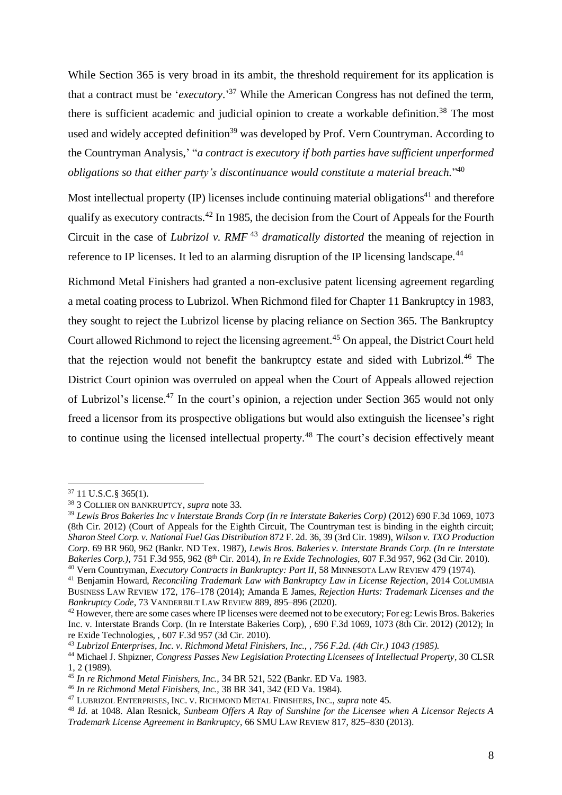While Section 365 is very broad in its ambit, the threshold requirement for its application is that a contract must be '*executory*.' <sup>37</sup> While the American Congress has not defined the term, there is sufficient academic and judicial opinion to create a workable definition.<sup>38</sup> The most used and widely accepted definition<sup>39</sup> was developed by Prof. Vern Countryman. According to the Countryman Analysis,' "*a contract is executory if both parties have sufficient unperformed obligations so that either party's discontinuance would constitute a material breach.*" 40

Most intellectual property  $(IP)$  licenses include continuing material obligations<sup>41</sup> and therefore qualify as executory contracts.<sup>42</sup> In 1985, the decision from the Court of Appeals for the Fourth Circuit in the case of *Lubrizol v. RMF* <sup>43</sup> *dramatically distorted* the meaning of rejection in reference to IP licenses. It led to an alarming disruption of the IP licensing landscape.<sup>44</sup>

Richmond Metal Finishers had granted a non-exclusive patent licensing agreement regarding a metal coating process to Lubrizol. When Richmond filed for Chapter 11 Bankruptcy in 1983, they sought to reject the Lubrizol license by placing reliance on Section 365. The Bankruptcy Court allowed Richmond to reject the licensing agreement.<sup>45</sup> On appeal, the District Court held that the rejection would not benefit the bankruptcy estate and sided with Lubrizol.<sup>46</sup> The District Court opinion was overruled on appeal when the Court of Appeals allowed rejection of Lubrizol's license.<sup>47</sup> In the court's opinion, a rejection under Section 365 would not only freed a licensor from its prospective obligations but would also extinguish the licensee's right to continue using the licensed intellectual property.<sup>48</sup> The court's decision effectively meant

<sup>37</sup> 11 U.S.C.§ 365(1).

<sup>38</sup> 3 COLLIER ON BANKRUPTCY, *supra* note 33.

<sup>39</sup> *Lewis Bros Bakeries Inc v Interstate Brands Corp (In re Interstate Bakeries Corp)* (2012) 690 F.3d 1069, 1073 (8th Cir. 2012) (Court of Appeals for the Eighth Circuit, The Countryman test is binding in the eighth circuit; *Sharon Steel Corp. v. National Fuel Gas Distribution* 872 F. 2d. 36, 39 (3rd Cir. 1989), *Wilson v. TXO Production Corp*. 69 BR 960, 962 (Bankr. ND Tex. 1987), *Lewis Bros. Bakeries v. Interstate Brands Corp. (In re Interstate Bakeries Corp.),* 751 F.3d 955, 962 (8th Cir. 2014), *In re Exide Technologies*, 607 F.3d 957, 962 (3d Cir. 2010).

<sup>&</sup>lt;sup>40</sup> Vern Countryman, *Executory Contracts in Bankruptcy: Part II*, 58 MINNESOTA LAW REVIEW 479 (1974).

<sup>41</sup> Benjamin Howard, *Reconciling Trademark Law with Bankruptcy Law in License Rejection*, 2014 COLUMBIA BUSINESS LAW REVIEW 172, 176–178 (2014); Amanda E James, *Rejection Hurts: Trademark Licenses and the Bankruptcy Code*, 73 VANDERBILT LAW REVIEW 889, 895–896 (2020).

 $42$  However, there are some cases where IP licenses were deemed not to be executory; For eg: Lewis Bros. Bakeries Inc. v. Interstate Brands Corp. (In re Interstate Bakeries Corp), , 690 F.3d 1069, 1073 (8th Cir. 2012) (2012); In re Exide Technologies, , 607 F.3d 957 (3d Cir. 2010).

<sup>43</sup> *Lubrizol Enterprises, Inc. v. Richmond Metal Finishers, Inc., , 756 F.2d. (4th Cir.) 1043 (1985).*

<sup>44</sup> Michael J. Shpizner, *Congress Passes New Legislation Protecting Licensees of Intellectual Property*, 30 CLSR 1, 2 (1989).

<sup>45</sup> *In re Richmond Metal Finishers, Inc.,* 34 BR 521, 522 (Bankr. ED Va. 1983.

<sup>46</sup> *In re Richmond Metal Finishers, Inc.,* 38 BR 341, 342 (ED Va. 1984).

<sup>47</sup> LUBRIZOL ENTERPRISES, INC. V. RICHMOND METAL FINISHERS, INC., *supra* note 45.

<sup>48</sup> *Id.* at 1048. Alan Resnick, *Sunbeam Offers A Ray of Sunshine for the Licensee when A Licensor Rejects A Trademark License Agreement in Bankruptcy*, 66 SMU LAW REVIEW 817, 825–830 (2013).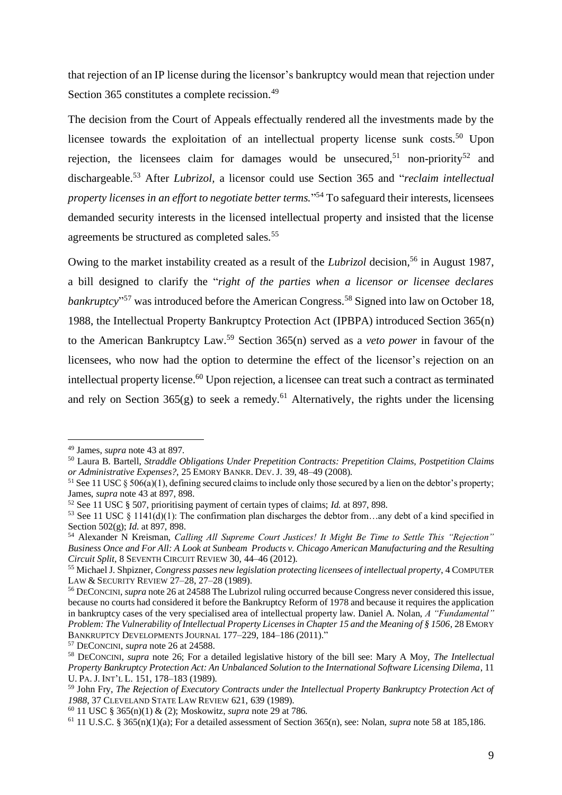that rejection of an IP license during the licensor's bankruptcy would mean that rejection under Section 365 constitutes a complete recission.<sup>49</sup>

The decision from the Court of Appeals effectually rendered all the investments made by the licensee towards the exploitation of an intellectual property license sunk costs.<sup>50</sup> Upon rejection, the licensees claim for damages would be unsecured,<sup>51</sup> non-priority<sup>52</sup> and dischargeable.<sup>53</sup> After *Lubrizol,* a licensor could use Section 365 and "*reclaim intellectual property licenses in an effort to negotiate better terms.*" <sup>54</sup> To safeguard their interests, licensees demanded security interests in the licensed intellectual property and insisted that the license agreements be structured as completed sales.<sup>55</sup>

Owing to the market instability created as a result of the *Lubrizol* decision*,* <sup>56</sup> in August 1987, a bill designed to clarify the "*right of the parties when a licensor or licensee declares*  bankruptcy"<sup>57</sup> was introduced before the American Congress.<sup>58</sup> Signed into law on October 18, 1988, the Intellectual Property Bankruptcy Protection Act (IPBPA) introduced Section 365(n) to the American Bankruptcy Law.<sup>59</sup> Section 365(n) served as a *veto power* in favour of the licensees, who now had the option to determine the effect of the licensor's rejection on an intellectual property license.<sup>60</sup> Upon rejection, a licensee can treat such a contract as terminated and rely on Section  $365(g)$  to seek a remedy.<sup>61</sup> Alternatively, the rights under the licensing

<sup>57</sup> DECONCINI, *supra* note 26 at 24588.

<sup>49</sup> James, *supra* note 43 at 897.

<sup>50</sup> Laura B. Bartell, *Straddle Obligations Under Prepetition Contracts: Prepetition Claims, Postpetition Claims or Administrative Expenses?*, 25 EMORY BANKR. DEV. J. 39, 48–49 (2008).

<sup>&</sup>lt;sup>51</sup> See 11 USC § 506(a)(1), defining secured claims to include only those secured by a lien on the debtor's property; James, *supra* note 43 at 897, 898.

<sup>52</sup> See 11 USC § 507, prioritising payment of certain types of claims; *Id.* at 897, 898.

<sup>53</sup> See 11 USC § 1141(d)(1): The confirmation plan discharges the debtor from…any debt of a kind specified in Section 502(g); *Id.* at 897, 898.

<sup>54</sup> Alexander N Kreisman, *Calling All Supreme Court Justices! It Might Be Time to Settle This "Rejection" Business Once and For All: A Look at Sunbeam Products v. Chicago American Manufacturing and the Resulting Circuit Split*, 8 SEVENTH CIRCUIT REVIEW 30, 44–46 (2012).

<sup>55</sup> Michael J. Shpizner, *Congress passes new legislation protecting licensees of intellectual property*, 4 COMPUTER LAW & SECURITY REVIEW 27–28, 27–28 (1989).

<sup>56</sup> DECONCINI, *supra* note 26 at 24588 The Lubrizol ruling occurred because Congress never considered this issue, because no courts had considered it before the Bankruptcy Reform of 1978 and because it requires the application in bankruptcy cases of the very specialised area of intellectual property law. Daniel A. Nolan, *A "Fundamental" Problem: The Vulnerability of Intellectual Property Licenses in Chapter 15 and the Meaning of § 1506*, 28 EMORY BANKRUPTCY DEVELOPMENTS JOURNAL 177-229, 184-186 (2011)."

<sup>58</sup> DECONCINI, *supra* note 26; For a detailed legislative history of the bill see: Mary A Moy, *The Intellectual Property Bankruptcy Protection Act: An Unbalanced Solution to the International Software Licensing Dilema*, 11 U. PA. J. INT'L L. 151, 178–183 (1989).

<sup>59</sup> John Fry, *The Rejection of Executory Contracts under the Intellectual Property Bankruptcy Protection Act of 1988*, 37 CLEVELAND STATE LAW REVIEW 621, 639 (1989).

<sup>60</sup> 11 USC § 365(n)(1) & (2); Moskowitz, *supra* note 29 at 786.

<sup>61</sup> 11 U.S.C. § 365(n)(1)(a); For a detailed assessment of Section 365(n), see: Nolan, *supra* note 58 at 185,186.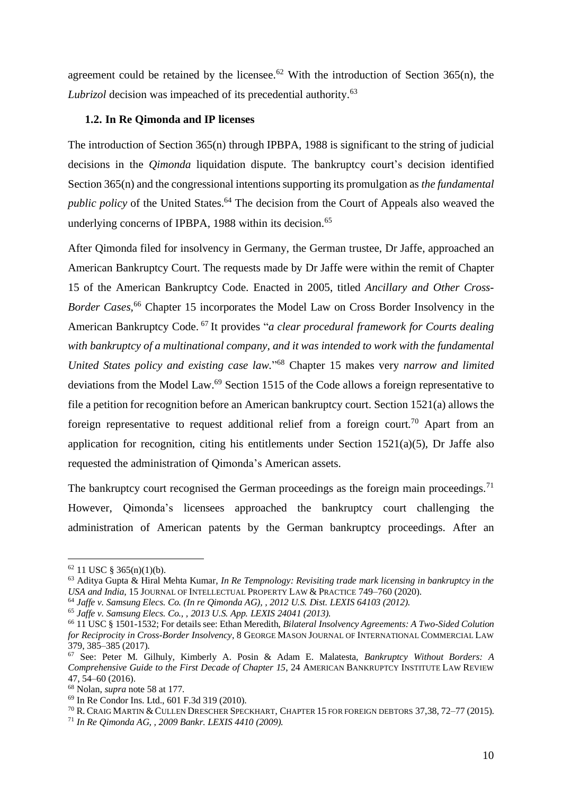agreement could be retained by the licensee.<sup>62</sup> With the introduction of Section 365(n), the *Lubrizol* decision was impeached of its precedential authority.<sup>63</sup>

#### <span id="page-11-0"></span>**1.2. In Re Qimonda and IP licenses**

The introduction of Section 365(n) through IPBPA, 1988 is significant to the string of judicial decisions in the *Qimonda* liquidation dispute. The bankruptcy court's decision identified Section 365(n) and the congressional intentions supporting its promulgation as *the fundamental public policy* of the United States.<sup>64</sup> The decision from the Court of Appeals also weaved the underlying concerns of IPBPA, 1988 within its decision.<sup>65</sup>

After Qimonda filed for insolvency in Germany, the German trustee, Dr Jaffe, approached an American Bankruptcy Court. The requests made by Dr Jaffe were within the remit of Chapter 15 of the American Bankruptcy Code. Enacted in 2005, titled *Ancillary and Other Cross-Border Cases,*<sup>66</sup> Chapter 15 incorporates the Model Law on Cross Border Insolvency in the American Bankruptcy Code. <sup>67</sup> It provides "*a clear procedural framework for Courts dealing with bankruptcy of a multinational company, and it was intended to work with the fundamental United States policy and existing case law.*" <sup>68</sup> Chapter 15 makes very *narrow and limited* deviations from the Model Law.<sup>69</sup> Section 1515 of the Code allows a foreign representative to file a petition for recognition before an American bankruptcy court. Section 1521(a) allows the foreign representative to request additional relief from a foreign court.<sup>70</sup> Apart from an application for recognition, citing his entitlements under Section 1521(a)(5), Dr Jaffe also requested the administration of Qimonda's American assets.

The bankruptcy court recognised the German proceedings as the foreign main proceedings.<sup>71</sup> However, Qimonda's licensees approached the bankruptcy court challenging the administration of American patents by the German bankruptcy proceedings. After an

 $62$  11 USC  $\frac{1}{2}$  365(n)(1)(b).

<sup>63</sup> Aditya Gupta & Hiral Mehta Kumar, *In Re Tempnology: Revisiting trade mark licensing in bankruptcy in the USA and India*, 15 JOURNAL OF INTELLECTUAL PROPERTY LAW & PRACTICE 749–760 (2020).

<sup>64</sup> *Jaffe v. Samsung Elecs. Co. (In re Qimonda AG), , 2012 U.S. Dist. LEXIS 64103 (2012).*

<sup>65</sup> *Jaffe v. Samsung Elecs. Co., , 2013 U.S. App. LEXIS 24041 (2013).*

<sup>66</sup> 11 USC § 1501-1532; For details see: Ethan Meredith, *Bilateral Insolvency Agreements: A Two-Sided Colution for Reciprocity in Cross-Border Insolvency*, 8 GEORGE MASON JOURNAL OF INTERNATIONAL COMMERCIAL LAW 379, 385–385 (2017).

<sup>67</sup> See: Peter M. Gilhuly, Kimberly A. Posin & Adam E. Malatesta, *Bankruptcy Without Borders: A Comprehensive Guide to the First Decade of Chapter 15*, 24 AMERICAN BANKRUPTCY INSTITUTE LAW REVIEW 47, 54–60 (2016).

<sup>68</sup> Nolan, *supra* note 58 at 177.

<sup>69</sup> In Re Condor Ins. Ltd., 601 F.3d 319 (2010).

<sup>&</sup>lt;sup>70</sup> R. CRAIG MARTIN & CULLEN DRESCHER SPECKHART, CHAPTER 15 FOR FOREIGN DEBTORS 37,38, 72-77 (2015). <sup>71</sup> *In Re Qimonda AG, , 2009 Bankr. LEXIS 4410 (2009).*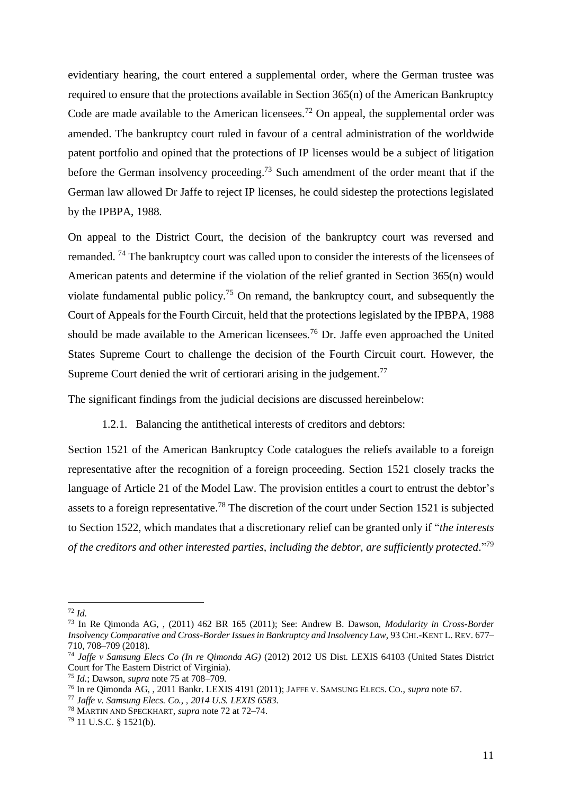evidentiary hearing, the court entered a supplemental order, where the German trustee was required to ensure that the protections available in Section 365(n) of the American Bankruptcy Code are made available to the American licensees.<sup>72</sup> On appeal, the supplemental order was amended. The bankruptcy court ruled in favour of a central administration of the worldwide patent portfolio and opined that the protections of IP licenses would be a subject of litigation before the German insolvency proceeding.<sup>73</sup> Such amendment of the order meant that if the German law allowed Dr Jaffe to reject IP licenses, he could sidestep the protections legislated by the IPBPA, 1988.

On appeal to the District Court, the decision of the bankruptcy court was reversed and remanded.<sup>74</sup> The bankruptcy court was called upon to consider the interests of the licensees of American patents and determine if the violation of the relief granted in Section 365(n) would violate fundamental public policy.<sup>75</sup> On remand, the bankruptcy court, and subsequently the Court of Appeals for the Fourth Circuit, held that the protections legislated by the IPBPA, 1988 should be made available to the American licensees.<sup>76</sup> Dr. Jaffe even approached the United States Supreme Court to challenge the decision of the Fourth Circuit court. However, the Supreme Court denied the writ of certiorari arising in the judgement.<sup>77</sup>

<span id="page-12-0"></span>The significant findings from the judicial decisions are discussed hereinbelow:

1.2.1. Balancing the antithetical interests of creditors and debtors:

Section 1521 of the American Bankruptcy Code catalogues the reliefs available to a foreign representative after the recognition of a foreign proceeding. Section 1521 closely tracks the language of Article 21 of the Model Law. The provision entitles a court to entrust the debtor's assets to a foreign representative.<sup>78</sup> The discretion of the court under Section 1521 is subjected to Section 1522, which mandates that a discretionary relief can be granted only if "*the interests of the creditors and other interested parties, including the debtor, are sufficiently protected*." 79

<sup>72</sup> *Id.*

<sup>73</sup> In Re Qimonda AG, , (2011) 462 BR 165 (2011); See: Andrew B. Dawson, *Modularity in Cross-Border Insolvency Comparative and Cross-Border Issues in Bankruptcy and Insolvency Law*, 93 CHI.-KENT L. REV. 677– 710, 708–709 (2018).

<sup>74</sup> *Jaffe v Samsung Elecs Co (In re Qimonda AG)* (2012) 2012 US Dist. LEXIS 64103 (United States District Court for The Eastern District of Virginia).

<sup>75</sup> *Id.*; Dawson, *supra* note 75 at 708–709.

<sup>76</sup> In re Qimonda AG, , 2011 Bankr. LEXIS 4191 (2011); JAFFE V. SAMSUNG ELECS. CO., *supra* note 67.

<sup>77</sup> *Jaffe v. Samsung Elecs. Co., , 2014 U.S. LEXIS 6583.*

<sup>78</sup> MARTIN AND SPECKHART, *supra* note 72 at 72–74.

<sup>79</sup> 11 U.S.C. § 1521(b).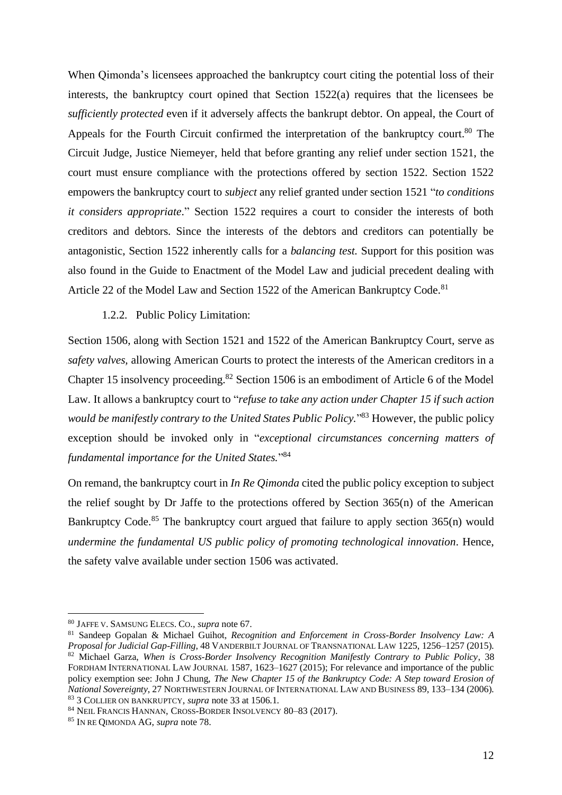When Qimonda's licensees approached the bankruptcy court citing the potential loss of their interests, the bankruptcy court opined that Section 1522(a) requires that the licensees be *sufficiently protected* even if it adversely affects the bankrupt debtor. On appeal, the Court of Appeals for the Fourth Circuit confirmed the interpretation of the bankruptcy court.<sup>80</sup> The Circuit Judge, Justice Niemeyer, held that before granting any relief under section 1521, the court must ensure compliance with the protections offered by section 1522. Section 1522 empowers the bankruptcy court to *subject* any relief granted under section 1521 "*to conditions it considers appropriate*." Section 1522 requires a court to consider the interests of both creditors and debtors. Since the interests of the debtors and creditors can potentially be antagonistic, Section 1522 inherently calls for a *balancing test.* Support for this position was also found in the Guide to Enactment of the Model Law and judicial precedent dealing with Article 22 of the Model Law and Section 1522 of the American Bankruptcy Code.<sup>81</sup>

1.2.2. Public Policy Limitation:

<span id="page-13-0"></span>Section 1506, along with Section 1521 and 1522 of the American Bankruptcy Court, serve as *safety valves,* allowing American Courts to protect the interests of the American creditors in a Chapter 15 insolvency proceeding.<sup>82</sup> Section 1506 is an embodiment of Article 6 of the Model Law. It allows a bankruptcy court to "*refuse to take any action under Chapter 15 if such action would be manifestly contrary to the United States Public Policy.*" <sup>83</sup> However, the public policy exception should be invoked only in "*exceptional circumstances concerning matters of fundamental importance for the United States.*" 84

On remand, the bankruptcy court in *In Re Qimonda* cited the public policy exception to subject the relief sought by Dr Jaffe to the protections offered by Section 365(n) of the American Bankruptcy Code.<sup>85</sup> The bankruptcy court argued that failure to apply section  $365(n)$  would *undermine the fundamental US public policy of promoting technological innovation*. Hence, the safety valve available under section 1506 was activated.

<sup>80</sup> JAFFE V. SAMSUNG ELECS. CO., *supra* note 67.

<sup>81</sup> Sandeep Gopalan & Michael Guihot, *Recognition and Enforcement in Cross-Border Insolvency Law: A Proposal for Judicial Gap-Filling*, 48 VANDERBILT JOURNAL OF TRANSNATIONAL LAW 1225, 1256–1257 (2015). <sup>82</sup> Michael Garza, *When is Cross-Border Insolvency Recognition Manifestly Contrary to Public Policy*, 38 FORDHAM INTERNATIONAL LAW JOURNAL 1587, 1623–1627 (2015); For relevance and importance of the public policy exemption see: John J Chung, *The New Chapter 15 of the Bankruptcy Code: A Step toward Erosion of National Sovereignty*, 27 NORTHWESTERN JOURNAL OF INTERNATIONAL LAW AND BUSINESS 89, 133–134 (2006). <sup>83</sup> 3 COLLIER ON BANKRUPTCY, *supra* note 33 at 1506.1.

<sup>84</sup> NEIL FRANCIS HANNAN, CROSS-BORDER INSOLVENCY 80–83 (2017).

<sup>85</sup> IN RE QIMONDA AG, *supra* note 78.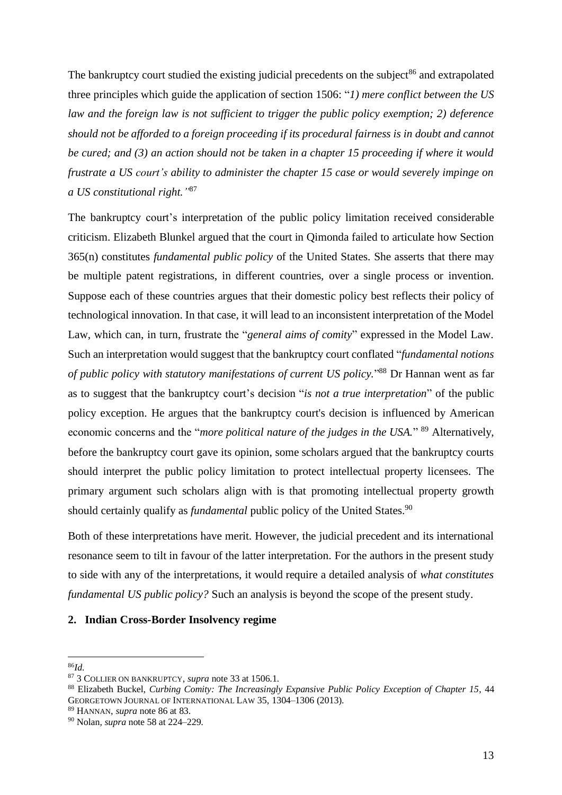The bankruptcy court studied the existing judicial precedents on the subject<sup>86</sup> and extrapolated three principles which guide the application of section 1506: "*1) mere conflict between the US law and the foreign law is not sufficient to trigger the public policy exemption; 2) deference should not be afforded to a foreign proceeding if its procedural fairness is in doubt and cannot be cured; and (3) an action should not be taken in a chapter 15 proceeding if where it would frustrate a US court's ability to administer the chapter 15 case or would severely impinge on a US constitutional right."* 87

The bankruptcy court's interpretation of the public policy limitation received considerable criticism. Elizabeth Blunkel argued that the court in Qimonda failed to articulate how Section 365(n) constitutes *fundamental public policy* of the United States. She asserts that there may be multiple patent registrations, in different countries, over a single process or invention. Suppose each of these countries argues that their domestic policy best reflects their policy of technological innovation. In that case, it will lead to an inconsistent interpretation of the Model Law, which can, in turn, frustrate the "*general aims of comity*" expressed in the Model Law. Such an interpretation would suggest that the bankruptcy court conflated "*fundamental notions of public policy with statutory manifestations of current US policy.*" <sup>88</sup> Dr Hannan went as far as to suggest that the bankruptcy court's decision "*is not a true interpretation*" of the public policy exception. He argues that the bankruptcy court's decision is influenced by American economic concerns and the "*more political nature of the judges in the USA.*" <sup>89</sup> Alternatively, before the bankruptcy court gave its opinion, some scholars argued that the bankruptcy courts should interpret the public policy limitation to protect intellectual property licensees. The primary argument such scholars align with is that promoting intellectual property growth should certainly qualify as *fundamental* public policy of the United States.<sup>90</sup>

Both of these interpretations have merit. However, the judicial precedent and its international resonance seem to tilt in favour of the latter interpretation. For the authors in the present study to side with any of the interpretations, it would require a detailed analysis of *what constitutes fundamental US public policy?* Such an analysis is beyond the scope of the present study.

#### <span id="page-14-0"></span>**2. Indian Cross-Border Insolvency regime**

<sup>86</sup>*Id.*

<sup>87</sup> 3 COLLIER ON BANKRUPTCY, *supra* note 33 at 1506.1.

<sup>88</sup> Elizabeth Buckel, *Curbing Comity: The Increasingly Expansive Public Policy Exception of Chapter 15*, 44 GEORGETOWN JOURNAL OF INTERNATIONAL LAW 35, 1304–1306 (2013).

<sup>89</sup> HANNAN, *supra* note 86 at 83.

<sup>90</sup> Nolan, *supra* note 58 at 224–229.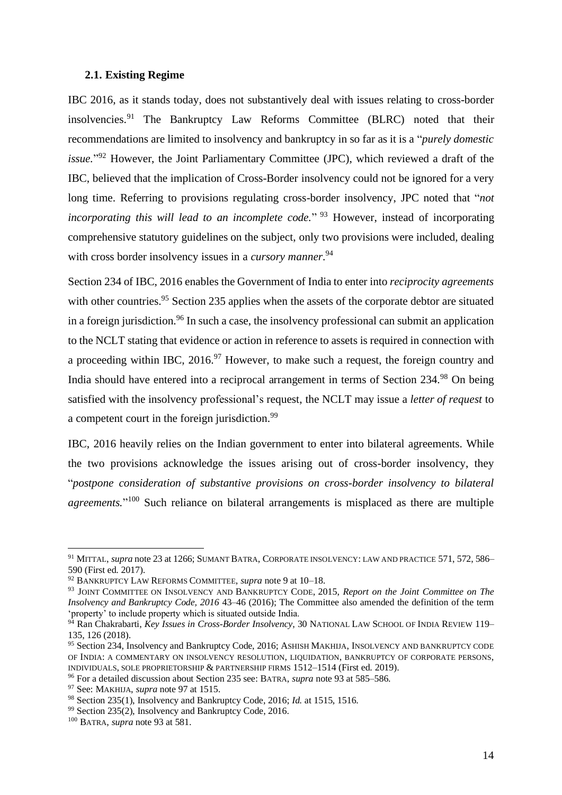#### <span id="page-15-0"></span>**2.1. Existing Regime**

IBC 2016, as it stands today, does not substantively deal with issues relating to cross-border insolvencies.<sup>91</sup> The Bankruptcy Law Reforms Committee (BLRC) noted that their recommendations are limited to insolvency and bankruptcy in so far as it is a "*purely domestic issue.*" <sup>92</sup> However, the Joint Parliamentary Committee (JPC), which reviewed a draft of the IBC, believed that the implication of Cross-Border insolvency could not be ignored for a very long time. Referring to provisions regulating cross-border insolvency, JPC noted that "*not incorporating this will lead to an incomplete code.*" <sup>93</sup> However, instead of incorporating comprehensive statutory guidelines on the subject, only two provisions were included, dealing with cross border insolvency issues in a *cursory manner*.<sup>94</sup>

Section 234 of IBC, 2016 enables the Government of India to enter into *reciprocity agreements*  with other countries.<sup>95</sup> Section 235 applies when the assets of the corporate debtor are situated in a foreign jurisdiction.<sup>96</sup> In such a case, the insolvency professional can submit an application to the NCLT stating that evidence or action in reference to assets is required in connection with a proceeding within IBC,  $2016$ .<sup>97</sup> However, to make such a request, the foreign country and India should have entered into a reciprocal arrangement in terms of Section 234.<sup>98</sup> On being satisfied with the insolvency professional's request, the NCLT may issue a *letter of request* to a competent court in the foreign jurisdiction.<sup>99</sup>

IBC, 2016 heavily relies on the Indian government to enter into bilateral agreements. While the two provisions acknowledge the issues arising out of cross-border insolvency, they "*postpone consideration of substantive provisions on cross-border insolvency to bilateral agreements.*" <sup>100</sup> Such reliance on bilateral arrangements is misplaced as there are multiple

<sup>91</sup> MITTAL, *supra* note 23 at 1266; SUMANT BATRA, CORPORATE INSOLVENCY: LAW AND PRACTICE 571, 572, 586– 590 (First ed. 2017).

<sup>92</sup> BANKRUPTCY LAW REFORMS COMMITTEE, *supra* note 9 at 10–18.

<sup>93</sup> JOINT COMMITTEE ON INSOLVENCY AND BANKRUPTCY CODE, 2015, *Report on the Joint Committee on The Insolvency and Bankruptcy Code, 2016* 43–46 (2016); The Committee also amended the definition of the term 'property' to include property which is situated outside India.

<sup>94</sup> Ran Chakrabarti, *Key Issues in Cross-Border Insolvency*, 30 NATIONAL LAW SCHOOL OF INDIA REVIEW 119– 135, 126 (2018).

<sup>95</sup> Section 234, Insolvency and Bankruptcy Code, 2016; ASHISH MAKHIJA, INSOLVENCY AND BANKRUPTCY CODE OF INDIA: A COMMENTARY ON INSOLVENCY RESOLUTION, LIQUIDATION, BANKRUPTCY OF CORPORATE PERSONS, INDIVIDUALS, SOLE PROPRIETORSHIP & PARTNERSHIP FIRMS 1512–1514 (First ed. 2019).

<sup>96</sup> For a detailed discussion about Section 235 see: BATRA, *supra* note 93 at 585–586.

<sup>97</sup> See: MAKHIJA, *supra* note 97 at 1515.

<sup>98</sup> Section 235(1), Insolvency and Bankruptcy Code, 2016; *Id.* at 1515, 1516.

<sup>99</sup> Section 235(2), Insolvency and Bankruptcy Code, 2016.

<sup>100</sup> BATRA, *supra* note 93 at 581.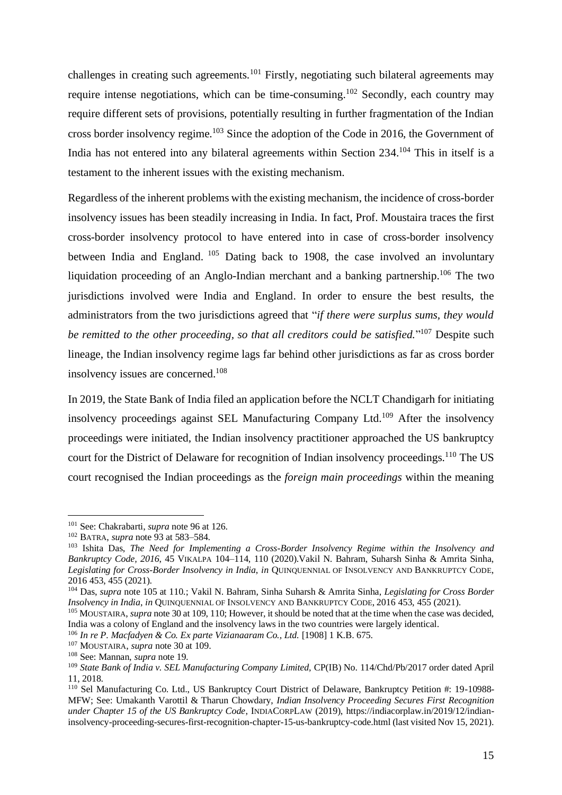challenges in creating such agreements.<sup>101</sup> Firstly, negotiating such bilateral agreements may require intense negotiations, which can be time-consuming.<sup>102</sup> Secondly, each country may require different sets of provisions, potentially resulting in further fragmentation of the Indian cross border insolvency regime.<sup>103</sup> Since the adoption of the Code in 2016, the Government of India has not entered into any bilateral agreements within Section 234.<sup>104</sup> This in itself is a testament to the inherent issues with the existing mechanism.

Regardless of the inherent problems with the existing mechanism, the incidence of cross-border insolvency issues has been steadily increasing in India. In fact, Prof. Moustaira traces the first cross-border insolvency protocol to have entered into in case of cross-border insolvency between India and England. <sup>105</sup> Dating back to 1908, the case involved an involuntary liquidation proceeding of an Anglo-Indian merchant and a banking partnership.<sup>106</sup> The two jurisdictions involved were India and England. In order to ensure the best results, the administrators from the two jurisdictions agreed that "*if there were surplus sums, they would*  be remitted to the other proceeding, so that all creditors could be satisfied."<sup>107</sup> Despite such lineage, the Indian insolvency regime lags far behind other jurisdictions as far as cross border insolvency issues are concerned.<sup>108</sup>

In 2019, the State Bank of India filed an application before the NCLT Chandigarh for initiating insolvency proceedings against SEL Manufacturing Company Ltd.<sup>109</sup> After the insolvency proceedings were initiated, the Indian insolvency practitioner approached the US bankruptcy court for the District of Delaware for recognition of Indian insolvency proceedings.<sup>110</sup> The US court recognised the Indian proceedings as the *foreign main proceedings* within the meaning

<sup>101</sup> See: Chakrabarti, *supra* note 96 at 126.

<sup>102</sup> BATRA, *supra* note 93 at 583–584.

<sup>103</sup> Ishita Das, *The Need for Implementing a Cross-Border Insolvency Regime within the Insolvency and Bankruptcy Code, 2016*, 45 VIKALPA 104–114, 110 (2020).Vakil N. Bahram, Suharsh Sinha & Amrita Sinha, *Legislating for Cross-Border Insolvency in India*, *in* QUINQUENNIAL OF INSOLVENCY AND BANKRUPTCY CODE, 2016 453, 455 (2021).

<sup>104</sup> Das, *supra* note 105 at 110.; Vakil N. Bahram, Sinha Suharsh & Amrita Sinha, *Legislating for Cross Border Insolvency in India*, *in* QUINQUENNIAL OF INSOLVENCY AND BANKRUPTCY CODE, 2016 453, 455 (2021).

<sup>&</sup>lt;sup>105</sup> MOUSTAIRA, *supra* note 30 at 109, 110; However, it should be noted that at the time when the case was decided, India was a colony of England and the insolvency laws in the two countries were largely identical.

<sup>&</sup>lt;sup>106</sup> In re P. Macfadyen & Co. Ex parte Vizianaaram Co., Ltd. [1908] 1 K.B. 675.

<sup>107</sup> MOUSTAIRA, *supra* note 30 at 109.

<sup>108</sup> See: Mannan, *supra* note 19.

<sup>&</sup>lt;sup>109</sup> State Bank of India v. SEL Manufacturing Company Limited, CP(IB) No. 114/Chd/Pb/2017 order dated April 11, 2018.

<sup>&</sup>lt;sup>110</sup> Sel Manufacturing Co. Ltd., US Bankruptcy Court District of Delaware, Bankruptcy Petition #: 19-10988-MFW; See: Umakanth Varottil & Tharun Chowdary, *Indian Insolvency Proceeding Secures First Recognition under Chapter 15 of the US Bankruptcy Code*, INDIACORPLAW (2019), https://indiacorplaw.in/2019/12/indianinsolvency-proceeding-secures-first-recognition-chapter-15-us-bankruptcy-code.html (last visited Nov 15, 2021).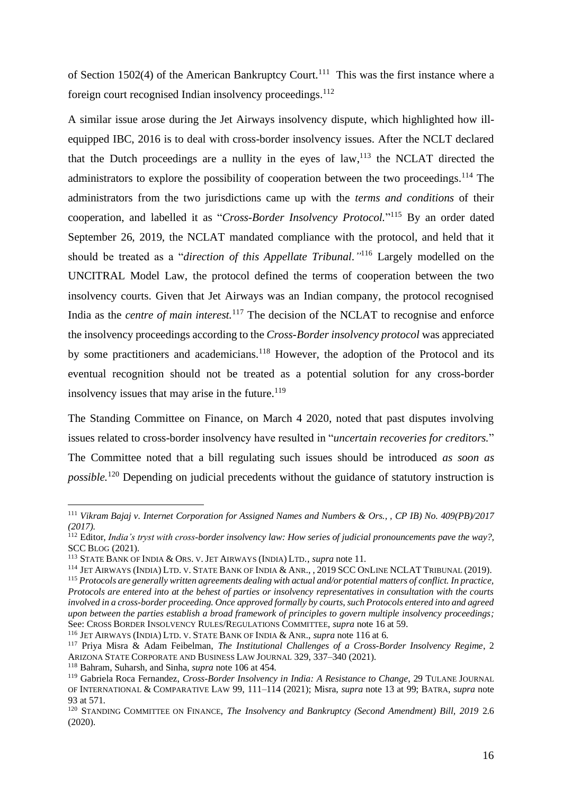of Section 1502(4) of the American Bankruptcy Court.<sup>111</sup> This was the first instance where a foreign court recognised Indian insolvency proceedings.<sup>112</sup>

A similar issue arose during the Jet Airways insolvency dispute, which highlighted how illequipped IBC, 2016 is to deal with cross-border insolvency issues. After the NCLT declared that the Dutch proceedings are a nullity in the eyes of  $law$ ,  $113$  the NCLAT directed the administrators to explore the possibility of cooperation between the two proceedings.<sup>114</sup> The administrators from the two jurisdictions came up with the *terms and conditions* of their cooperation, and labelled it as "*Cross-Border Insolvency Protocol.*" <sup>115</sup> By an order dated September 26, 2019, the NCLAT mandated compliance with the protocol, and held that it should be treated as a "*direction of this Appellate Tribunal."* <sup>116</sup> Largely modelled on the UNCITRAL Model Law, the protocol defined the terms of cooperation between the two insolvency courts. Given that Jet Airways was an Indian company, the protocol recognised India as the *centre of main interest*.<sup>117</sup> The decision of the NCLAT to recognise and enforce the insolvency proceedings according to the *Cross-Border insolvency protocol* was appreciated by some practitioners and academicians.<sup>118</sup> However, the adoption of the Protocol and its eventual recognition should not be treated as a potential solution for any cross-border insolvency issues that may arise in the future. $119$ 

The Standing Committee on Finance, on March 4 2020, noted that past disputes involving issues related to cross-border insolvency have resulted in "*uncertain recoveries for creditors.*" The Committee noted that a bill regulating such issues should be introduced *as soon as possible.*<sup>120</sup> Depending on judicial precedents without the guidance of statutory instruction is

<sup>111</sup> *Vikram Bajaj v. Internet Corporation for Assigned Names and Numbers & Ors., , CP IB) No. 409(PB)/2017 (2017).*

<sup>112</sup> Editor, *India's tryst with cross-border insolvency law: How series of judicial pronouncements pave the way?*, SCC BLOG (2021).

<sup>113</sup> STATE BANK OF INDIA & ORS. V. JET AIRWAYS (INDIA) LTD., *supra* note 11.

<sup>&</sup>lt;sup>114</sup> JET AIRWAYS (INDIA) LTD. V. STATE BANK OF INDIA & ANR., , 2019 SCC ONLINE NCLAT TRIBUNAL (2019).

<sup>115</sup> *Protocols are generally written agreements dealing with actual and/or potential matters of conflict. In practice, Protocols are entered into at the behest of parties or insolvency representatives in consultation with the courts*  involved in a cross-border proceeding. Once approved formally by courts, such Protocols entered into and agreed *upon between the parties establish a broad framework of principles to govern multiple insolvency proceedings;* See: CROSS BORDER INSOLVENCY RULES/REGULATIONS COMMITTEE, *supra* note 16 at 59.

<sup>116</sup> JET AIRWAYS (INDIA) LTD. V. STATE BANK OF INDIA & ANR., *supra* note 116 at 6.

<sup>117</sup> Priya Misra & Adam Feibelman, *The Institutional Challenges of a Cross-Border Insolvency Regime*, 2 ARIZONA STATE CORPORATE AND BUSINESS LAW JOURNAL 329, 337–340 (2021).

<sup>118</sup> Bahram, Suharsh, and Sinha, *supra* note 106 at 454.

<sup>119</sup> Gabriela Roca Fernandez, *Cross-Border Insolvency in India: A Resistance to Change*, 29 TULANE JOURNAL OF INTERNATIONAL & COMPARATIVE LAW 99, 111–114 (2021); Misra, *supra* note 13 at 99; BATRA, *supra* note 93 at 571.

<sup>120</sup> STANDING COMMITTEE ON FINANCE, *The Insolvency and Bankruptcy (Second Amendment) Bill, 2019* 2.6 (2020).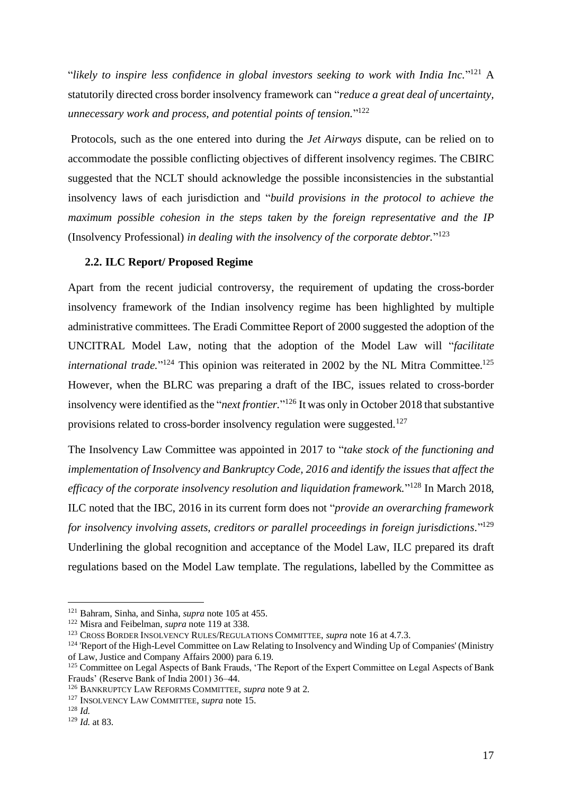"*likely to inspire less confidence in global investors seeking to work with India Inc.*" <sup>121</sup> A statutorily directed cross border insolvency framework can "*reduce a great deal of uncertainty, unnecessary work and process, and potential points of tension.*" 122

Protocols, such as the one entered into during the *Jet Airways* dispute, can be relied on to accommodate the possible conflicting objectives of different insolvency regimes. The CBIRC suggested that the NCLT should acknowledge the possible inconsistencies in the substantial insolvency laws of each jurisdiction and "*build provisions in the protocol to achieve the maximum possible cohesion in the steps taken by the foreign representative and the IP*  (Insolvency Professional) *in dealing with the insolvency of the corporate debtor.*" 123

#### <span id="page-18-0"></span>**2.2. ILC Report/ Proposed Regime**

Apart from the recent judicial controversy, the requirement of updating the cross-border insolvency framework of the Indian insolvency regime has been highlighted by multiple administrative committees. The Eradi Committee Report of 2000 suggested the adoption of the UNCITRAL Model Law, noting that the adoption of the Model Law will "*facilitate international trade.*"<sup>124</sup> This opinion was reiterated in 2002 by the NL Mitra Committee.<sup>125</sup> However, when the BLRC was preparing a draft of the IBC, issues related to cross-border insolvency were identified as the "*next frontier.*" <sup>126</sup> It was only in October 2018 that substantive provisions related to cross-border insolvency regulation were suggested.<sup>127</sup>

The Insolvency Law Committee was appointed in 2017 to "*take stock of the functioning and implementation of Insolvency and Bankruptcy Code, 2016 and identify the issues that affect the*  efficacy of the corporate insolvency resolution and liquidation framework."<sup>128</sup> In March 2018, ILC noted that the IBC, 2016 in its current form does not "*provide an overarching framework for insolvency involving assets, creditors or parallel proceedings in foreign jurisdictions.*" 129 Underlining the global recognition and acceptance of the Model Law, ILC prepared its draft regulations based on the Model Law template. The regulations, labelled by the Committee as

<sup>121</sup> Bahram, Sinha, and Sinha, *supra* note 105 at 455.

<sup>122</sup> Misra and Feibelman, *supra* note 119 at 338.

<sup>123</sup> CROSS BORDER INSOLVENCY RULES/REGULATIONS COMMITTEE, *supra* note 16 at 4.7.3.

<sup>&</sup>lt;sup>124</sup> 'Report of the High-Level Committee on Law Relating to Insolvency and Winding Up of Companies' (Ministry of Law, Justice and Company Affairs 2000) para 6.19.

<sup>&</sup>lt;sup>125</sup> Committee on Legal Aspects of Bank Frauds, 'The Report of the Expert Committee on Legal Aspects of Bank Frauds' (Reserve Bank of India 2001) 36–44.

<sup>126</sup> BANKRUPTCY LAW REFORMS COMMITTEE, *supra* note 9 at 2.

<sup>127</sup> INSOLVENCY LAW COMMITTEE, *supra* note 15.

<sup>128</sup> *Id.*

<sup>129</sup> *Id.* at 83.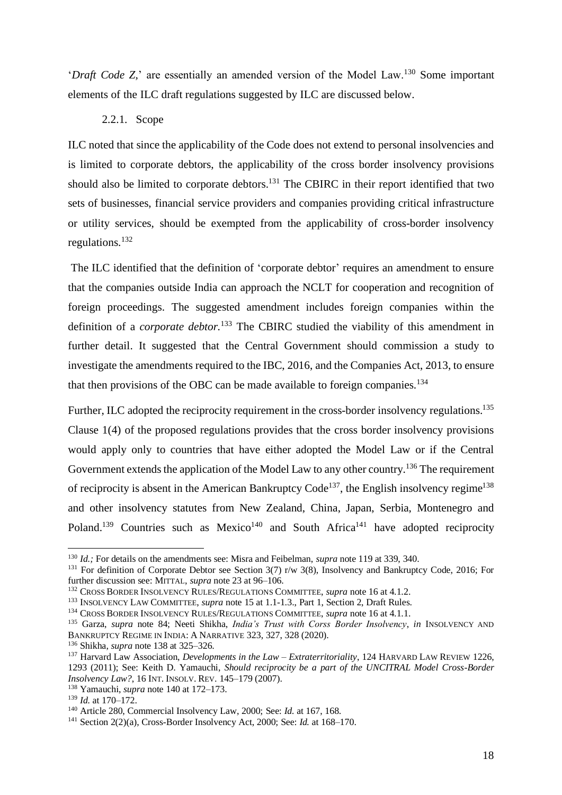'*Draft Code Z,*' are essentially an amended version of the Model Law.<sup>130</sup> Some important elements of the ILC draft regulations suggested by ILC are discussed below.

#### 2.2.1. Scope

<span id="page-19-0"></span>ILC noted that since the applicability of the Code does not extend to personal insolvencies and is limited to corporate debtors, the applicability of the cross border insolvency provisions should also be limited to corporate debtors.<sup>131</sup> The CBIRC in their report identified that two sets of businesses, financial service providers and companies providing critical infrastructure or utility services, should be exempted from the applicability of cross-border insolvency regulations.<sup>132</sup>

The ILC identified that the definition of 'corporate debtor' requires an amendment to ensure that the companies outside India can approach the NCLT for cooperation and recognition of foreign proceedings. The suggested amendment includes foreign companies within the definition of a *corporate debtor.*<sup>133</sup> The CBIRC studied the viability of this amendment in further detail. It suggested that the Central Government should commission a study to investigate the amendments required to the IBC, 2016, and the Companies Act, 2013, to ensure that then provisions of the OBC can be made available to foreign companies.<sup>134</sup>

Further, ILC adopted the reciprocity requirement in the cross-border insolvency regulations.<sup>135</sup> Clause 1(4) of the proposed regulations provides that the cross border insolvency provisions would apply only to countries that have either adopted the Model Law or if the Central Government extends the application of the Model Law to any other country.<sup>136</sup> The requirement of reciprocity is absent in the American Bankruptcy Code<sup>137</sup>, the English insolvency regime<sup>138</sup> and other insolvency statutes from New Zealand, China, Japan, Serbia, Montenegro and Poland.<sup>139</sup> Countries such as Mexico<sup>140</sup> and South Africa<sup>141</sup> have adopted reciprocity

<sup>138</sup> Yamauchi, *supra* note 140 at 172–173.

<sup>130</sup> *Id.;* For details on the amendments see: Misra and Feibelman, *supra* note 119 at 339, 340.

<sup>&</sup>lt;sup>131</sup> For definition of Corporate Debtor see Section 3(7) r/w 3(8), Insolvency and Bankruptcy Code, 2016; For further discussion see: MITTAL, *supra* note 23 at 96–106.

<sup>132</sup> CROSS BORDER INSOLVENCY RULES/REGULATIONS COMMITTEE, *supra* note 16 at 4.1.2.

<sup>133</sup> INSOLVENCY LAW COMMITTEE, *supra* note 15 at 1.1-1.3., Part 1, Section 2, Draft Rules.

<sup>134</sup> CROSS BORDER INSOLVENCY RULES/REGULATIONS COMMITTEE, *supra* note 16 at 4.1.1.

<sup>135</sup> Garza, *supra* note 84; Neeti Shikha, *India's Trust with Corss Border Insolvency*, *in* INSOLVENCY AND BANKRUPTCY REGIME IN INDIA: A NARRATIVE 323, 327, 328 (2020).

<sup>136</sup> Shikha, *supra* note 138 at 325–326.

<sup>137</sup> Harvard Law Association, *Developments in the Law – Extraterritoriality*, 124 HARVARD LAW REVIEW 1226, 1293 (2011); See: Keith D. Yamauchi, *Should reciprocity be a part of the UNCITRAL Model Cross-Border Insolvency Law?*, 16 INT. INSOLV. REV. 145-179 (2007).

<sup>139</sup> *Id.* at 170–172.

<sup>140</sup> Article 280, Commercial Insolvency Law, 2000; See: *Id.* at 167, 168.

<sup>141</sup> Section 2(2)(a), Cross-Border Insolvency Act, 2000; See: *Id.* at 168–170.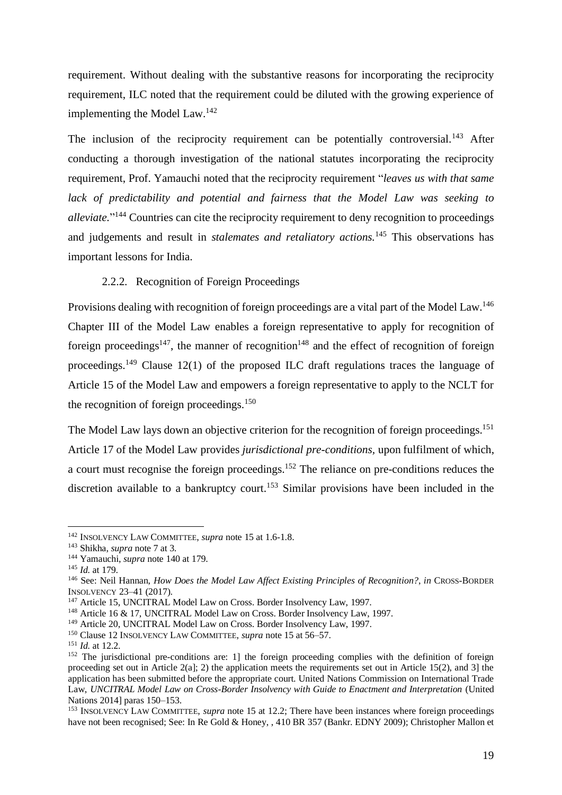requirement. Without dealing with the substantive reasons for incorporating the reciprocity requirement, ILC noted that the requirement could be diluted with the growing experience of implementing the Model Law.<sup>142</sup>

The inclusion of the reciprocity requirement can be potentially controversial.<sup>143</sup> After conducting a thorough investigation of the national statutes incorporating the reciprocity requirement, Prof. Yamauchi noted that the reciprocity requirement "*leaves us with that same lack of predictability and potential and fairness that the Model Law was seeking to*  alleviate."<sup>144</sup> Countries can cite the reciprocity requirement to deny recognition to proceedings and judgements and result in *stalemates and retaliatory actions.*<sup>145</sup> This observations has important lessons for India.

#### 2.2.2. Recognition of Foreign Proceedings

<span id="page-20-0"></span>Provisions dealing with recognition of foreign proceedings are a vital part of the Model Law.<sup>146</sup> Chapter III of the Model Law enables a foreign representative to apply for recognition of foreign proceedings<sup>147</sup>, the manner of recognition<sup>148</sup> and the effect of recognition of foreign proceedings.<sup>149</sup> Clause 12(1) of the proposed ILC draft regulations traces the language of Article 15 of the Model Law and empowers a foreign representative to apply to the NCLT for the recognition of foreign proceedings. $150$ 

The Model Law lays down an objective criterion for the recognition of foreign proceedings.<sup>151</sup> Article 17 of the Model Law provides *jurisdictional pre-conditions,* upon fulfilment of which, a court must recognise the foreign proceedings.<sup>152</sup> The reliance on pre-conditions reduces the discretion available to a bankruptcy court.<sup>153</sup> Similar provisions have been included in the

<sup>142</sup> INSOLVENCY LAW COMMITTEE, *supra* note 15 at 1.6-1.8.

<sup>143</sup> Shikha, *supra* note 7 at 3.

<sup>144</sup> Yamauchi, *supra* note 140 at 179.

<sup>145</sup> *Id.* at 179.

<sup>146</sup> See: Neil Hannan, *How Does the Model Law Affect Existing Principles of Recognition?*, *in* CROSS-BORDER INSOLVENCY 23–41 (2017).

<sup>&</sup>lt;sup>147</sup> Article 15, UNCITRAL Model Law on Cross. Border Insolvency Law, 1997.

<sup>&</sup>lt;sup>148</sup> Article 16 & 17, UNCITRAL Model Law on Cross. Border Insolvency Law, 1997.

<sup>&</sup>lt;sup>149</sup> Article 20, UNCITRAL Model Law on Cross. Border Insolvency Law, 1997.

<sup>150</sup> Clause 12 INSOLVENCY LAW COMMITTEE, *supra* note 15 at 56–57.

<sup>151</sup> *Id.* at 12.2.

<sup>&</sup>lt;sup>152</sup> The jurisdictional pre-conditions are: 1] the foreign proceeding complies with the definition of foreign proceeding set out in Article 2(a); 2) the application meets the requirements set out in Article 15(2), and 31 the application has been submitted before the appropriate court. United Nations Commission on International Trade Law, *UNCITRAL Model Law on Cross-Border Insolvency with Guide to Enactment and Interpretation* (United Nations 2014] paras 150–153.

<sup>153</sup> INSOLVENCY LAW COMMITTEE, *supra* note 15 at 12.2; There have been instances where foreign proceedings have not been recognised; See: In Re Gold & Honey, , 410 BR 357 (Bankr. EDNY 2009); Christopher Mallon et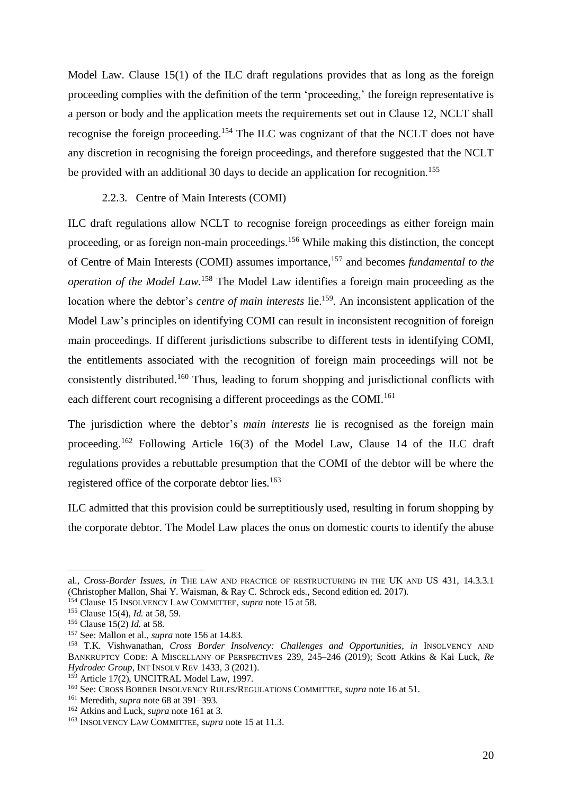Model Law. Clause 15(1) of the ILC draft regulations provides that as long as the foreign proceeding complies with the definition of the term 'proceeding,' the foreign representative is a person or body and the application meets the requirements set out in Clause 12, NCLT shall recognise the foreign proceeding.<sup>154</sup> The ILC was cognizant of that the NCLT does not have any discretion in recognising the foreign proceedings, and therefore suggested that the NCLT be provided with an additional 30 days to decide an application for recognition.<sup>155</sup>

2.2.3. Centre of Main Interests (COMI)

<span id="page-21-0"></span>ILC draft regulations allow NCLT to recognise foreign proceedings as either foreign main proceeding, or as foreign non-main proceedings.<sup>156</sup> While making this distinction, the concept of Centre of Main Interests (COMI) assumes importance, <sup>157</sup> and becomes *fundamental to the operation of the Model Law.*<sup>158</sup> The Model Law identifies a foreign main proceeding as the location where the debtor's *centre of main interests* lie.<sup>159</sup>. An inconsistent application of the Model Law's principles on identifying COMI can result in inconsistent recognition of foreign main proceedings. If different jurisdictions subscribe to different tests in identifying COMI, the entitlements associated with the recognition of foreign main proceedings will not be consistently distributed.<sup>160</sup> Thus, leading to forum shopping and jurisdictional conflicts with each different court recognising a different proceedings as the COMI.<sup>161</sup>

The jurisdiction where the debtor's *main interests* lie is recognised as the foreign main proceeding.<sup>162</sup> Following Article 16(3) of the Model Law, Clause 14 of the ILC draft regulations provides a rebuttable presumption that the COMI of the debtor will be where the registered office of the corporate debtor lies.<sup>163</sup>

ILC admitted that this provision could be surreptitiously used, resulting in forum shopping by the corporate debtor. The Model Law places the onus on domestic courts to identify the abuse

al., *Cross-Border Issues*, *in* THE LAW AND PRACTICE OF RESTRUCTURING IN THE UK AND US 431, 14.3.3.1 (Christopher Mallon, Shai Y. Waisman, & Ray C. Schrock eds., Second edition ed. 2017).

<sup>154</sup> Clause 15 INSOLVENCY LAW COMMITTEE, *supra* note 15 at 58.

<sup>155</sup> Clause 15(4), *Id.* at 58, 59.

<sup>156</sup> Clause 15(2) *Id.* at 58.

<sup>157</sup> See: Mallon et al., *supra* note 156 at 14.83.

<sup>158</sup> T.K. Vishwanathan, *Cross Border Insolvency: Challenges and Opportunities*, *in* INSOLVENCY AND BANKRUPTCY CODE: A MISCELLANY OF PERSPECTIVES 239, 245–246 (2019); Scott Atkins & Kai Luck, *Re Hydrodec Group*, INT INSOLV REV 1433, 3 (2021).

<sup>&</sup>lt;sup>159</sup> Article 17(2), UNCITRAL Model Law, 1997.

<sup>160</sup> See: CROSS BORDER INSOLVENCY RULES/REGULATIONS COMMITTEE, *supra* note 16 at 51.

<sup>161</sup> Meredith, *supra* note 68 at 391–393.

<sup>162</sup> Atkins and Luck, *supra* note 161 at 3.

<sup>163</sup> INSOLVENCY LAW COMMITTEE, *supra* note 15 at 11.3.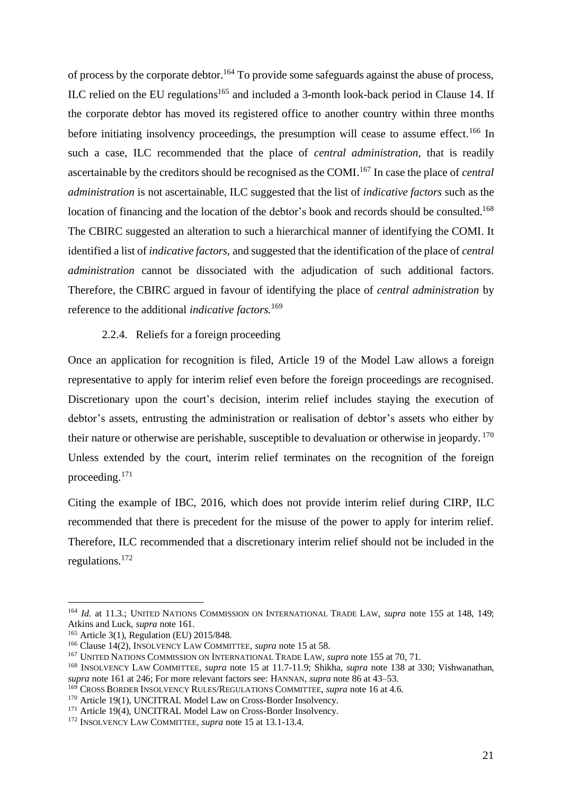of process by the corporate debtor.<sup>164</sup> To provide some safeguards against the abuse of process, ILC relied on the EU regulations<sup>165</sup> and included a 3-month look-back period in Clause 14. If the corporate debtor has moved its registered office to another country within three months before initiating insolvency proceedings, the presumption will cease to assume effect.<sup>166</sup> In such a case, ILC recommended that the place of *central administration,* that is readily ascertainable by the creditors should be recognised as the COMI. <sup>167</sup> In case the place of *central administration* is not ascertainable, ILC suggested that the list of *indicative factors* such as the location of financing and the location of the debtor's book and records should be consulted.<sup>168</sup> The CBIRC suggested an alteration to such a hierarchical manner of identifying the COMI. It identified a list of *indicative factors,* and suggested that the identification of the place of *central administration* cannot be dissociated with the adjudication of such additional factors. Therefore, the CBIRC argued in favour of identifying the place of *central administration* by reference to the additional *indicative factors.*<sup>169</sup>

#### 2.2.4. Reliefs for a foreign proceeding

<span id="page-22-0"></span>Once an application for recognition is filed, Article 19 of the Model Law allows a foreign representative to apply for interim relief even before the foreign proceedings are recognised. Discretionary upon the court's decision, interim relief includes staying the execution of debtor's assets, entrusting the administration or realisation of debtor's assets who either by their nature or otherwise are perishable, susceptible to devaluation or otherwise in jeopardy. <sup>170</sup> Unless extended by the court, interim relief terminates on the recognition of the foreign proceeding.<sup>171</sup>

Citing the example of IBC, 2016, which does not provide interim relief during CIRP, ILC recommended that there is precedent for the misuse of the power to apply for interim relief. Therefore, ILC recommended that a discretionary interim relief should not be included in the regulations.<sup>172</sup>

<sup>&</sup>lt;sup>164</sup> *Id.* at 11.3.; UNITED NATIONS COMMISSION ON INTERNATIONAL TRADE LAW, *supra* note 155 at 148, 149; Atkins and Luck, *supra* note 161.

<sup>165</sup> Article 3(1), Regulation (EU) 2015/848.

<sup>166</sup> Clause 14(2), INSOLVENCY LAW COMMITTEE, *supra* note 15 at 58.

<sup>167</sup> UNITED NATIONS COMMISSION ON INTERNATIONAL TRADE LAW, *supra* note 155 at 70, 71.

<sup>168</sup> INSOLVENCY LAW COMMITTEE, *supra* note 15 at 11.7-11.9; Shikha, *supra* note 138 at 330; Vishwanathan, *supra* note 161 at 246; For more relevant factors see: HANNAN, *supra* note 86 at 43–53.

<sup>169</sup> CROSS BORDER INSOLVENCY RULES/REGULATIONS COMMITTEE, *supra* note 16 at 4.6.

<sup>170</sup> Article 19(1), UNCITRAL Model Law on Cross-Border Insolvency.

<sup>&</sup>lt;sup>171</sup> Article 19(4), UNCITRAL Model Law on Cross-Border Insolvency.

<sup>172</sup> INSOLVENCY LAW COMMITTEE, *supra* note 15 at 13.1-13.4.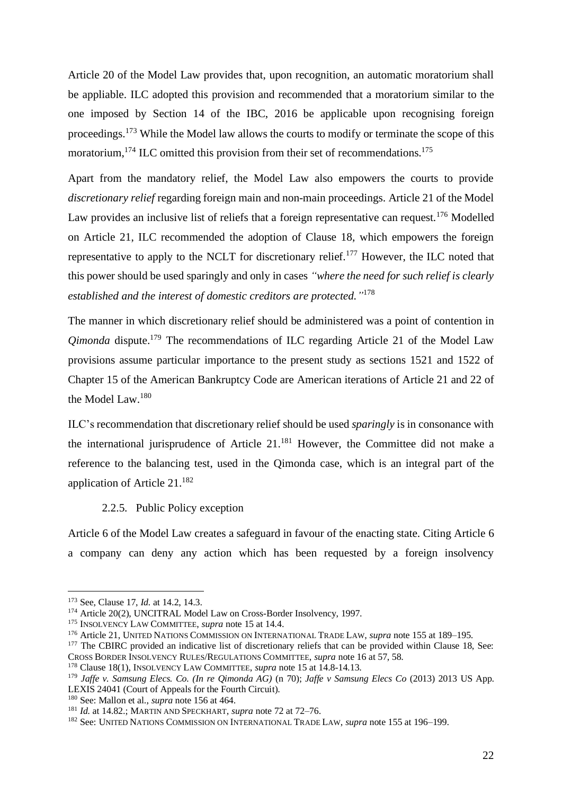Article 20 of the Model Law provides that, upon recognition, an automatic moratorium shall be appliable. ILC adopted this provision and recommended that a moratorium similar to the one imposed by Section 14 of the IBC, 2016 be applicable upon recognising foreign proceedings.<sup>173</sup> While the Model law allows the courts to modify or terminate the scope of this moratorium,  $174$  ILC omitted this provision from their set of recommendations.<sup>175</sup>

Apart from the mandatory relief, the Model Law also empowers the courts to provide *discretionary relief* regarding foreign main and non-main proceedings. Article 21 of the Model Law provides an inclusive list of reliefs that a foreign representative can request.<sup>176</sup> Modelled on Article 21, ILC recommended the adoption of Clause 18, which empowers the foreign representative to apply to the NCLT for discretionary relief.<sup>177</sup> However, the ILC noted that this power should be used sparingly and only in cases *"where the need for such relief is clearly established and the interest of domestic creditors are protected."* 178

The manner in which discretionary relief should be administered was a point of contention in *Qimonda* dispute.<sup>179</sup> The recommendations of ILC regarding Article 21 of the Model Law provisions assume particular importance to the present study as sections 1521 and 1522 of Chapter 15 of the American Bankruptcy Code are American iterations of Article 21 and 22 of the Model Law. 180

ILC's recommendation that discretionary relief should be used *sparingly* is in consonance with the international jurisprudence of Article  $21$ .<sup>181</sup> However, the Committee did not make a reference to the balancing test, used in the Qimonda case, which is an integral part of the application of Article 21.<sup>182</sup>

#### 2.2.5. Public Policy exception

<span id="page-23-0"></span>Article 6 of the Model Law creates a safeguard in favour of the enacting state. Citing Article 6 a company can deny any action which has been requested by a foreign insolvency

<sup>173</sup> See, Clause 17, *Id.* at 14.2, 14.3.

<sup>174</sup> Article 20(2), UNCITRAL Model Law on Cross-Border Insolvency, 1997.

<sup>175</sup> INSOLVENCY LAW COMMITTEE, *supra* note 15 at 14.4.

<sup>176</sup> Article 21, UNITED NATIONS COMMISSION ON INTERNATIONAL TRADE LAW, *supra* note 155 at 189–195.

<sup>&</sup>lt;sup>177</sup> The CBIRC provided an indicative list of discretionary reliefs that can be provided within Clause 18, See: CROSS BORDER INSOLVENCY RULES/REGULATIONS COMMITTEE, *supra* note 16 at 57, 58.

<sup>178</sup> Clause 18(1), INSOLVENCY LAW COMMITTEE, *supra* note 15 at 14.8-14.13.

<sup>179</sup> *Jaffe v. Samsung Elecs. Co. (In re Qimonda AG)* (n 70); *Jaffe v Samsung Elecs Co* (2013) 2013 US App. LEXIS 24041 (Court of Appeals for the Fourth Circuit).

<sup>180</sup> See: Mallon et al., *supra* note 156 at 464.

<sup>181</sup> *Id.* at 14.82.; MARTIN AND SPECKHART, *supra* note 72 at 72–76.

<sup>182</sup> See: UNITED NATIONS COMMISSION ON INTERNATIONAL TRADE LAW, *supra* note 155 at 196–199.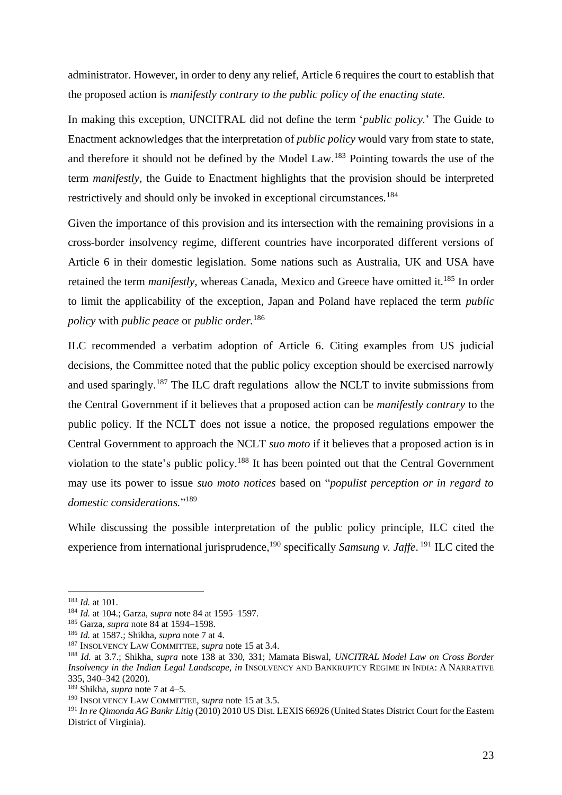administrator. However, in order to deny any relief, Article 6 requires the court to establish that the proposed action is *manifestly contrary to the public policy of the enacting state.* 

In making this exception, UNCITRAL did not define the term '*public policy.*' The Guide to Enactment acknowledges that the interpretation of *public policy* would vary from state to state, and therefore it should not be defined by the Model Law.<sup>183</sup> Pointing towards the use of the term *manifestly,* the Guide to Enactment highlights that the provision should be interpreted restrictively and should only be invoked in exceptional circumstances.<sup>184</sup>

Given the importance of this provision and its intersection with the remaining provisions in a cross-border insolvency regime, different countries have incorporated different versions of Article 6 in their domestic legislation. Some nations such as Australia, UK and USA have retained the term *manifestly*, whereas Canada, Mexico and Greece have omitted it.<sup>185</sup> In order to limit the applicability of the exception, Japan and Poland have replaced the term *public policy* with *public peace* or *public order.*<sup>186</sup>

ILC recommended a verbatim adoption of Article 6. Citing examples from US judicial decisions, the Committee noted that the public policy exception should be exercised narrowly and used sparingly.<sup>187</sup> The ILC draft regulations allow the NCLT to invite submissions from the Central Government if it believes that a proposed action can be *manifestly contrary* to the public policy. If the NCLT does not issue a notice, the proposed regulations empower the Central Government to approach the NCLT *suo moto* if it believes that a proposed action is in violation to the state's public policy.<sup>188</sup> It has been pointed out that the Central Government may use its power to issue *suo moto notices* based on "*populist perception or in regard to domestic considerations.*" 189

While discussing the possible interpretation of the public policy principle, ILC cited the experience from international jurisprudence,<sup>190</sup> specifically *Samsung v. Jaffe*.<sup>191</sup> ILC cited the

<sup>183</sup> *Id.* at 101.

<sup>184</sup> *Id.* at 104.; Garza, *supra* note 84 at 1595–1597.

<sup>185</sup> Garza, *supra* note 84 at 1594–1598.

<sup>186</sup> *Id.* at 1587.; Shikha, *supra* note 7 at 4.

<sup>187</sup> INSOLVENCY LAW COMMITTEE, *supra* note 15 at 3.4.

<sup>188</sup> *Id.* at 3.7.; Shikha, *supra* note 138 at 330, 331; Mamata Biswal, *UNCITRAL Model Law on Cross Border Insolvency in the Indian Legal Landscape*, *in* INSOLVENCY AND BANKRUPTCY REGIME IN INDIA: A NARRATIVE 335, 340–342 (2020).

<sup>189</sup> Shikha, *supra* note 7 at 4–5.

<sup>190</sup> INSOLVENCY LAW COMMITTEE, *supra* note 15 at 3.5.

<sup>191</sup> *In re Qimonda AG Bankr Litig* (2010) 2010 US Dist. LEXIS 66926 (United States District Court for the Eastern District of Virginia).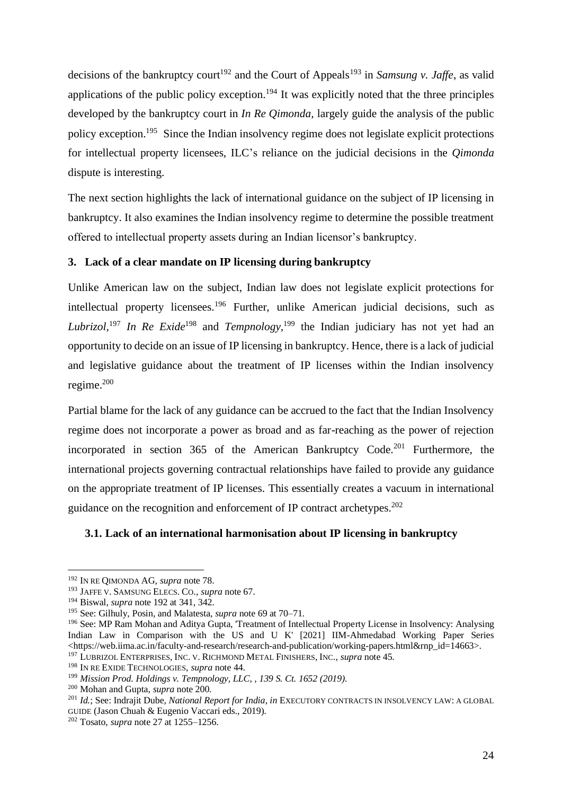decisions of the bankruptcy court<sup>192</sup> and the Court of Appeals<sup>193</sup> in *Samsung v. Jaffe*, as valid applications of the public policy exception.<sup>194</sup> It was explicitly noted that the three principles developed by the bankruptcy court in *In Re Qimonda,* largely guide the analysis of the public policy exception.<sup>195</sup> Since the Indian insolvency regime does not legislate explicit protections for intellectual property licensees, ILC's reliance on the judicial decisions in the *Qimonda*  dispute is interesting.

The next section highlights the lack of international guidance on the subject of IP licensing in bankruptcy. It also examines the Indian insolvency regime to determine the possible treatment offered to intellectual property assets during an Indian licensor's bankruptcy.

#### <span id="page-25-0"></span>**3. Lack of a clear mandate on IP licensing during bankruptcy**

Unlike American law on the subject, Indian law does not legislate explicit protections for intellectual property licensees.<sup>196</sup> Further, unlike American judicial decisions, such as Lubrizol,<sup>197</sup> In Re Exide<sup>198</sup> and *Tempnology*,<sup>199</sup> the Indian judiciary has not yet had an opportunity to decide on an issue of IP licensing in bankruptcy. Hence, there is a lack of judicial and legislative guidance about the treatment of IP licenses within the Indian insolvency regime. 200

Partial blame for the lack of any guidance can be accrued to the fact that the Indian Insolvency regime does not incorporate a power as broad and as far-reaching as the power of rejection incorporated in section  $365$  of the American Bankruptcy Code.<sup>201</sup> Furthermore, the international projects governing contractual relationships have failed to provide any guidance on the appropriate treatment of IP licenses. This essentially creates a vacuum in international guidance on the recognition and enforcement of IP contract archetypes.<sup>202</sup>

#### <span id="page-25-1"></span>**3.1. Lack of an international harmonisation about IP licensing in bankruptcy**

<sup>192</sup> IN RE QIMONDA AG, *supra* note 78.

<sup>193</sup> JAFFE V. SAMSUNG ELECS. CO., *supra* note 67.

<sup>194</sup> Biswal, *supra* note 192 at 341, 342.

<sup>195</sup> See: Gilhuly, Posin, and Malatesta, *supra* note 69 at 70–71.

<sup>196</sup> See: MP Ram Mohan and Aditya Gupta, 'Treatment of Intellectual Property License in Insolvency: Analysing Indian Law in Comparison with the US and U K' [2021] IIM-Ahmedabad Working Paper Series <https://web.iima.ac.in/faculty-and-research/research-and-publication/working-papers.html&rnp\_id=14663>. <sup>197</sup> LUBRIZOL ENTERPRISES, INC. V. RICHMOND METAL FINISHERS, INC., *supra* note 45.

<sup>198</sup> IN RE EXIDE TECHNOLOGIES, *supra* note 44.

<sup>199</sup> *Mission Prod. Holdings v. Tempnology, LLC, , 139 S. Ct. 1652 (2019).*

<sup>200</sup> Mohan and Gupta, *supra* note 200.

<sup>201</sup> *Id.*; See: Indrajit Dube, *National Report for India*, *in* EXECUTORY CONTRACTS IN INSOLVENCY LAW: A GLOBAL GUIDE (Jason Chuah & Eugenio Vaccari eds., 2019).

<sup>202</sup> Tosato, *supra* note 27 at 1255–1256.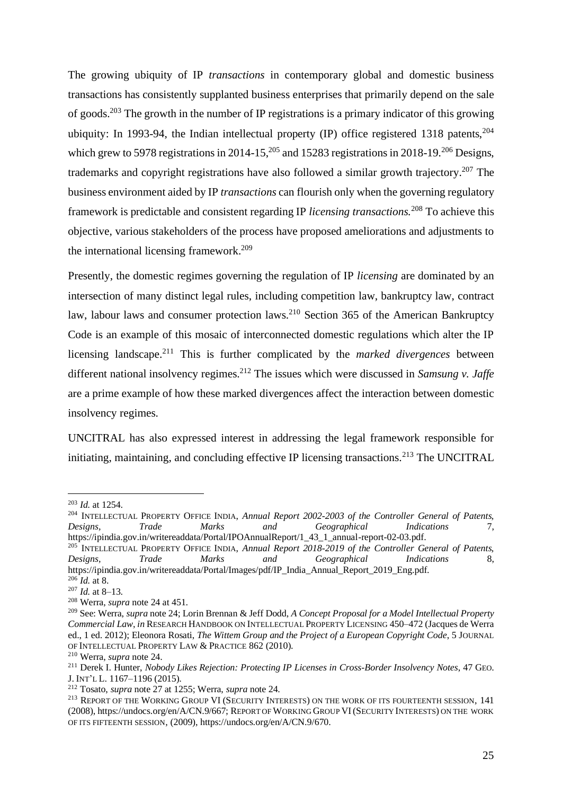The growing ubiquity of IP *transactions* in contemporary global and domestic business transactions has consistently supplanted business enterprises that primarily depend on the sale of goods.<sup>203</sup> The growth in the number of IP registrations is a primary indicator of this growing ubiquity: In 1993-94, the Indian intellectual property (IP) office registered 1318 patents,  $204$ which grew to 5978 registrations in 2014-15,  $205$  and 15283 registrations in 2018-19.  $206$  Designs, trademarks and copyright registrations have also followed a similar growth trajectory.<sup>207</sup> The business environment aided by IP *transactions* can flourish only when the governing regulatory framework is predictable and consistent regarding IP *licensing transactions.*<sup>208</sup> To achieve this objective, various stakeholders of the process have proposed ameliorations and adjustments to the international licensing framework. 209

Presently, the domestic regimes governing the regulation of IP *licensing* are dominated by an intersection of many distinct legal rules, including competition law, bankruptcy law, contract law, labour laws and consumer protection laws.<sup>210</sup> Section 365 of the American Bankruptcy Code is an example of this mosaic of interconnected domestic regulations which alter the IP licensing landscape.<sup>211</sup> This is further complicated by the *marked divergences* between different national insolvency regimes.<sup>212</sup> The issues which were discussed in *Samsung v. Jaffe*  are a prime example of how these marked divergences affect the interaction between domestic insolvency regimes.

UNCITRAL has also expressed interest in addressing the legal framework responsible for initiating, maintaining, and concluding effective IP licensing transactions.<sup>213</sup> The UNCITRAL

<sup>203</sup> *Id.* at 1254.

<sup>204</sup> INTELLECTUAL PROPERTY OFFICE INDIA, *Annual Report 2002-2003 of the Controller General of Patents, Designs, Trade Marks and Geographical Indications* 7, https://ipindia.gov.in/writereaddata/Portal/IPOAnnualReport/1\_43\_1\_annual-report-02-03.pdf.

<sup>205</sup> INTELLECTUAL PROPERTY OFFICE INDIA, *Annual Report 2018-2019 of the Controller General of Patents, Designs, Trade Marks and Geographical Indications* 8, https://ipindia.gov.in/writereaddata/Portal/Images/pdf/IP\_India\_Annual\_Report\_2019\_Eng.pdf.

<sup>206</sup> *Id.* at 8.

<sup>207</sup> *Id.* at 8–13.

<sup>208</sup> Werra, *supra* note 24 at 451.

<sup>209</sup> See: Werra, *supra* note 24; Lorin Brennan & Jeff Dodd, *A Concept Proposal for a Model Intellectual Property Commercial Law*, *in* RESEARCH HANDBOOK ON INTELLECTUAL PROPERTY LICENSING 450–472 (Jacques de Werra ed., 1 ed. 2012); Eleonora Rosati, *The Wittem Group and the Project of a European Copyright Code*, 5 JOURNAL OF INTELLECTUAL PROPERTY LAW & PRACTICE 862 (2010).

<sup>210</sup> Werra, *supra* note 24.

<sup>211</sup> Derek I. Hunter, *Nobody Likes Rejection: Protecting IP Licenses in Cross-Border Insolvency Notes*, 47 GEO. J. INT'L L. 1167–1196 (2015).

<sup>212</sup> Tosato, *supra* note 27 at 1255; Werra, *supra* note 24.

<sup>&</sup>lt;sup>213</sup> REPORT OF THE WORKING GROUP VI (SECURITY INTERESTS) ON THE WORK OF ITS FOURTEENTH SESSION, 141 (2008), https://undocs.org/en/A/CN.9/667; REPORT OF WORKING GROUP VI(SECURITY INTERESTS) ON THE WORK OF ITS FIFTEENTH SESSION, (2009), https://undocs.org/en/A/CN.9/670.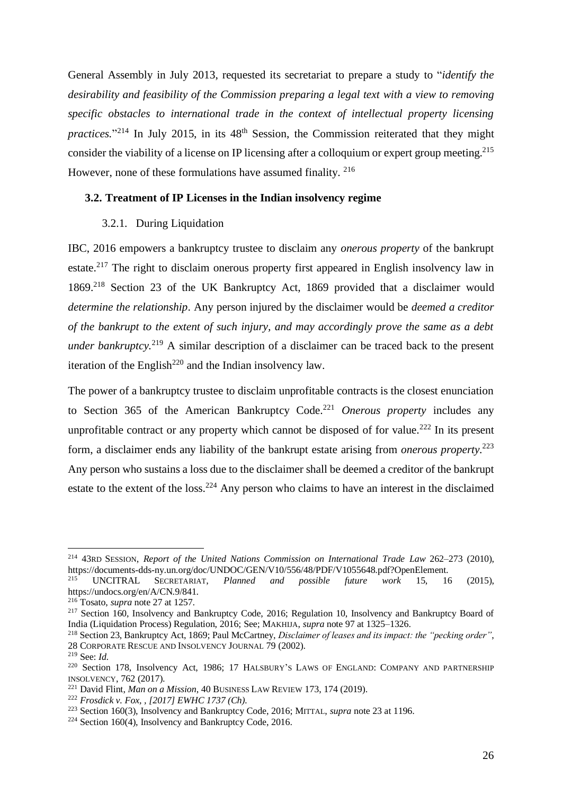General Assembly in July 2013, requested its secretariat to prepare a study to "*identify the desirability and feasibility of the Commission preparing a legal text with a view to removing specific obstacles to international trade in the context of intellectual property licensing*  practices.<sup>"214</sup> In July 2015, in its 48<sup>th</sup> Session, the Commission reiterated that they might consider the viability of a license on IP licensing after a colloquium or expert group meeting.<sup>215</sup> However, none of these formulations have assumed finality. <sup>216</sup>

#### <span id="page-27-0"></span>**3.2. Treatment of IP Licenses in the Indian insolvency regime**

#### 3.2.1. During Liquidation

IBC, 2016 empowers a bankruptcy trustee to disclaim any *onerous property* of the bankrupt estate.<sup>217</sup> The right to disclaim onerous property first appeared in English insolvency law in 1869.<sup>218</sup> Section 23 of the UK Bankruptcy Act, 1869 provided that a disclaimer would *determine the relationship*. Any person injured by the disclaimer would be *deemed a creditor of the bankrupt to the extent of such injury, and may accordingly prove the same as a debt under bankruptcy.*<sup>219</sup> A similar description of a disclaimer can be traced back to the present iteration of the English<sup>220</sup> and the Indian insolvency law.

The power of a bankruptcy trustee to disclaim unprofitable contracts is the closest enunciation to Section 365 of the American Bankruptcy Code.<sup>221</sup> *Onerous property* includes any unprofitable contract or any property which cannot be disposed of for value.<sup>222</sup> In its present form, a disclaimer ends any liability of the bankrupt estate arising from *onerous property.*<sup>223</sup> Any person who sustains a loss due to the disclaimer shall be deemed a creditor of the bankrupt estate to the extent of the loss.<sup>224</sup> Any person who claims to have an interest in the disclaimed

<sup>214</sup> 43RD SESSION, *Report of the United Nations Commission on International Trade Law* 262–273 (2010), https://documents-dds-ny.un.org/doc/UNDOC/GEN/V10/556/48/PDF/V1055648.pdf?OpenElement.

<sup>215</sup> UNCITRAL SECRETARIAT, *Planned and possible future work* 15, 16 (2015), https://undocs.org/en/A/CN.9/841.

<sup>216</sup> Tosato, *supra* note 27 at 1257.

<sup>&</sup>lt;sup>217</sup> Section 160, Insolvency and Bankruptcy Code, 2016; Regulation 10, Insolvency and Bankruptcy Board of India (Liquidation Process) Regulation, 2016; See; MAKHIJA, *supra* note 97 at 1325–1326.

<sup>218</sup> Section 23, Bankruptcy Act, 1869; Paul McCartney, *Disclaimer of leases and its impact: the "pecking order"*, 28 CORPORATE RESCUE AND INSOLVENCY JOURNAL 79 (2002).

<sup>219</sup> See: *Id.*

<sup>&</sup>lt;sup>220</sup> Section 178, Insolvency Act, 1986; 17 HALSBURY'S LAWS OF ENGLAND: COMPANY AND PARTNERSHIP INSOLVENCY, 762 (2017).

<sup>221</sup> David Flint, *Man on a Mission*, 40 BUSINESS LAW REVIEW 173, 174 (2019).

<sup>222</sup> *Frosdick v. Fox, , [2017] EWHC 1737 (Ch).*

<sup>223</sup> Section 160(3), Insolvency and Bankruptcy Code, 2016; MITTAL, *supra* note 23 at 1196.

 $224$  Section 160(4), Insolvency and Bankruptcy Code, 2016.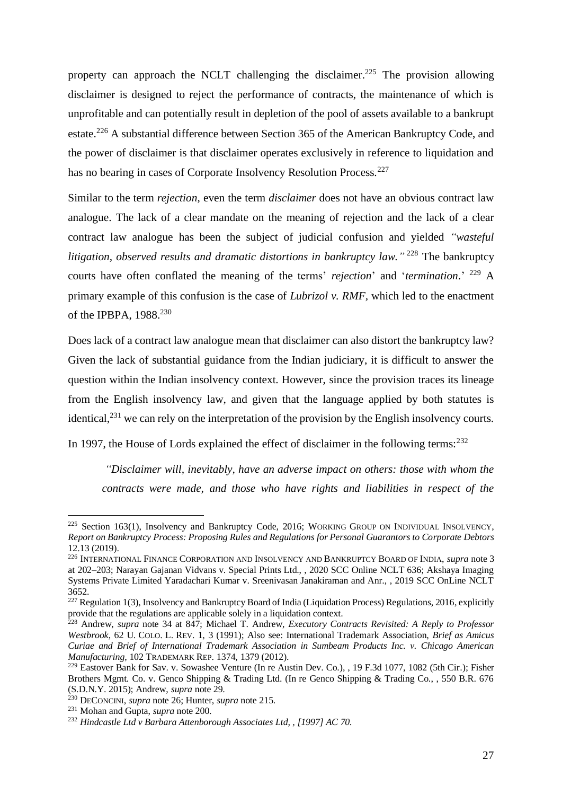property can approach the NCLT challenging the disclaimer.<sup>225</sup> The provision allowing disclaimer is designed to reject the performance of contracts, the maintenance of which is unprofitable and can potentially result in depletion of the pool of assets available to a bankrupt estate.<sup>226</sup> A substantial difference between Section 365 of the American Bankruptcy Code, and the power of disclaimer is that disclaimer operates exclusively in reference to liquidation and has no bearing in cases of Corporate Insolvency Resolution Process.<sup>227</sup>

Similar to the term *rejection*, even the term *disclaimer* does not have an obvious contract law analogue. The lack of a clear mandate on the meaning of rejection and the lack of a clear contract law analogue has been the subject of judicial confusion and yielded *"wasteful*  litigation, observed results and dramatic distortions in bankruptcy law.<sup>"228</sup> The bankruptcy courts have often conflated the meaning of the terms' *rejection*' and '*termination*.' <sup>229</sup> A primary example of this confusion is the case of *Lubrizol v. RMF,* which led to the enactment of the IPBPA, 1988.<sup>230</sup>

Does lack of a contract law analogue mean that disclaimer can also distort the bankruptcy law? Given the lack of substantial guidance from the Indian judiciary, it is difficult to answer the question within the Indian insolvency context. However, since the provision traces its lineage from the English insolvency law, and given that the language applied by both statutes is identical,  $2^{31}$  we can rely on the interpretation of the provision by the English insolvency courts.

In 1997, the House of Lords explained the effect of disclaimer in the following terms:<sup>232</sup>

*"Disclaimer will, inevitably, have an adverse impact on others: those with whom the contracts were made, and those who have rights and liabilities in respect of the* 

<sup>&</sup>lt;sup>225</sup> Section 163(1), Insolvency and Bankruptcy Code, 2016; WORKING GROUP ON INDIVIDUAL INSOLVENCY, *Report on Bankruptcy Process: Proposing Rules and Regulations for Personal Guarantors to Corporate Debtors* 12.13 (2019).

<sup>226</sup> INTERNATIONAL FINANCE CORPORATION AND INSOLVENCY AND BANKRUPTCY BOARD OF INDIA, *supra* note 3 at 202–203; Narayan Gajanan Vidvans v. Special Prints Ltd., , 2020 SCC Online NCLT 636; Akshaya Imaging Systems Private Limited Yaradachari Kumar v. Sreenivasan Janakiraman and Anr., , 2019 SCC OnLine NCLT 3652.

<sup>&</sup>lt;sup>227</sup> Regulation 1(3), Insolvency and Bankruptcy Board of India (Liquidation Process) Regulations, 2016, explicitly provide that the regulations are applicable solely in a liquidation context.

<sup>228</sup> Andrew, *supra* note 34 at 847; Michael T. Andrew, *Executory Contracts Revisited: A Reply to Professor Westbrook*, 62 U. COLO. L. REV. 1, 3 (1991); Also see: International Trademark Association, *Brief as Amicus Curiae and Brief of International Trademark Association in Sumbeam Products Inc. v. Chicago American Manufacturing*, 102 TRADEMARK REP. 1374, 1379 (2012).

<sup>&</sup>lt;sup>229</sup> Eastover Bank for Sav. v. Sowashee Venture (In re Austin Dev. Co.), , 19 F.3d 1077, 1082 (5th Cir.); Fisher Brothers Mgmt. Co. v. Genco Shipping & Trading Ltd. (In re Genco Shipping & Trading Co., , 550 B.R. 676 (S.D.N.Y. 2015); Andrew, *supra* note 29.

<sup>230</sup> DECONCINI, *supra* note 26; Hunter, *supra* note 215.

<sup>231</sup> Mohan and Gupta, *supra* note 200.

<sup>232</sup> *Hindcastle Ltd v Barbara Attenborough Associates Ltd, , [1997] AC 70.*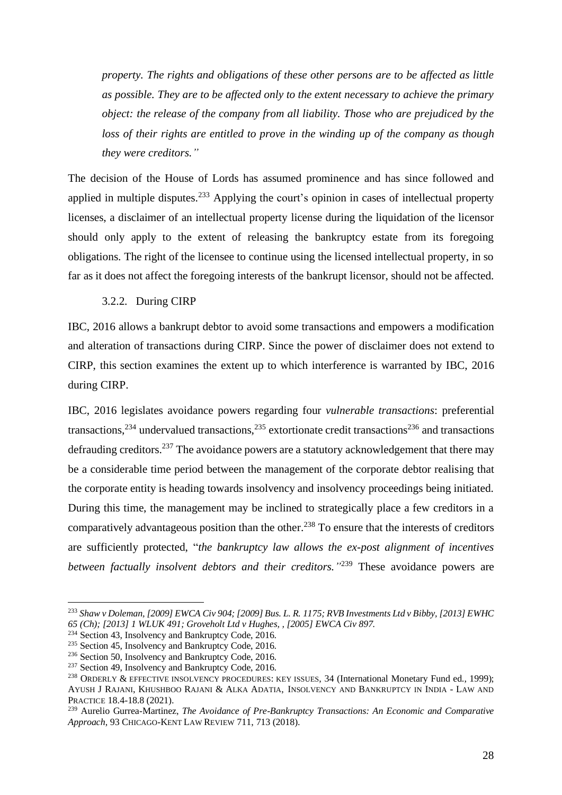*property. The rights and obligations of these other persons are to be affected as little as possible. They are to be affected only to the extent necessary to achieve the primary object: the release of the company from all liability. Those who are prejudiced by the loss of their rights are entitled to prove in the winding up of the company as though they were creditors."*

The decision of the House of Lords has assumed prominence and has since followed and applied in multiple disputes.<sup>233</sup> Applying the court's opinion in cases of intellectual property licenses, a disclaimer of an intellectual property license during the liquidation of the licensor should only apply to the extent of releasing the bankruptcy estate from its foregoing obligations. The right of the licensee to continue using the licensed intellectual property, in so far as it does not affect the foregoing interests of the bankrupt licensor, should not be affected.

#### 3.2.2. During CIRP

IBC, 2016 allows a bankrupt debtor to avoid some transactions and empowers a modification and alteration of transactions during CIRP. Since the power of disclaimer does not extend to CIRP, this section examines the extent up to which interference is warranted by IBC, 2016 during CIRP.

IBC, 2016 legislates avoidance powers regarding four *vulnerable transactions*: preferential transactions,<sup>234</sup> undervalued transactions,<sup>235</sup> extortionate credit transactions<sup>236</sup> and transactions defrauding creditors.<sup>237</sup> The avoidance powers are a statutory acknowledgement that there may be a considerable time period between the management of the corporate debtor realising that the corporate entity is heading towards insolvency and insolvency proceedings being initiated. During this time, the management may be inclined to strategically place a few creditors in a comparatively advantageous position than the other.<sup>238</sup> To ensure that the interests of creditors are sufficiently protected, "*the bankruptcy law allows the ex-post alignment of incentives*  between factually insolvent debtors and their creditors.<sup>"239</sup> These avoidance powers are

<sup>233</sup> *Shaw v Doleman, [2009] EWCA Civ 904; [2009] Bus. L. R. 1175; RVB Investments Ltd v Bibby, [2013] EWHC 65 (Ch); [2013] 1 WLUK 491; Groveholt Ltd v Hughes, , [2005] EWCA Civ 897.*

<sup>234</sup> Section 43, Insolvency and Bankruptcy Code, 2016.

<sup>&</sup>lt;sup>235</sup> Section 45, Insolvency and Bankruptcy Code, 2016.

<sup>236</sup> Section 50, Insolvency and Bankruptcy Code, 2016.

<sup>237</sup> Section 49, Insolvency and Bankruptcy Code, 2016.

<sup>238</sup> ORDERLY & EFFECTIVE INSOLVENCY PROCEDURES: KEY ISSUES, 34 (International Monetary Fund ed., 1999); AYUSH J RAJANI, KHUSHBOO RAJANI & ALKA ADATIA, INSOLVENCY AND BANKRUPTCY IN INDIA - LAW AND PRACTICE 18.4-18.8 (2021).

<sup>239</sup> Aurelio Gurrea-Martinez, *The Avoidance of Pre-Bankruptcy Transactions: An Economic and Comparative Approach*, 93 CHICAGO-KENT LAW REVIEW 711, 713 (2018).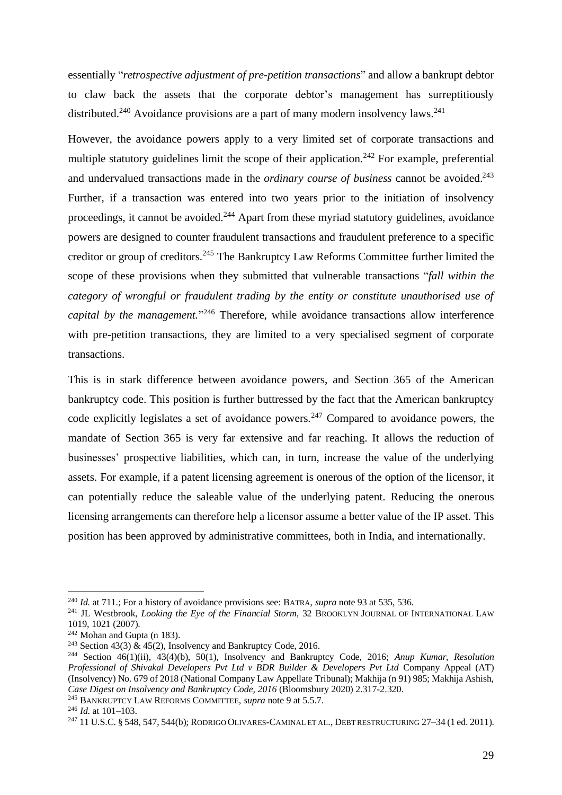essentially "*retrospective adjustment of pre-petition transactions*" and allow a bankrupt debtor to claw back the assets that the corporate debtor's management has surreptitiously distributed.<sup>240</sup> Avoidance provisions are a part of many modern insolvency laws.<sup>241</sup>

However, the avoidance powers apply to a very limited set of corporate transactions and multiple statutory guidelines limit the scope of their application.<sup>242</sup> For example, preferential and undervalued transactions made in the *ordinary course of business* cannot be avoided.<sup>243</sup> Further, if a transaction was entered into two years prior to the initiation of insolvency proceedings, it cannot be avoided.<sup>244</sup> Apart from these myriad statutory guidelines, avoidance powers are designed to counter fraudulent transactions and fraudulent preference to a specific creditor or group of creditors.<sup>245</sup> The Bankruptcy Law Reforms Committee further limited the scope of these provisions when they submitted that vulnerable transactions "*fall within the category of wrongful or fraudulent trading by the entity or constitute unauthorised use of capital by the management.*" <sup>246</sup> Therefore, while avoidance transactions allow interference with pre-petition transactions, they are limited to a very specialised segment of corporate transactions.

This is in stark difference between avoidance powers, and Section 365 of the American bankruptcy code. This position is further buttressed by the fact that the American bankruptcy code explicitly legislates a set of avoidance powers.<sup>247</sup> Compared to avoidance powers, the mandate of Section 365 is very far extensive and far reaching. It allows the reduction of businesses' prospective liabilities, which can, in turn, increase the value of the underlying assets. For example, if a patent licensing agreement is onerous of the option of the licensor, it can potentially reduce the saleable value of the underlying patent. Reducing the onerous licensing arrangements can therefore help a licensor assume a better value of the IP asset. This position has been approved by administrative committees, both in India, and internationally.

<sup>240</sup> *Id.* at 711.; For a history of avoidance provisions see: BATRA, *supra* note 93 at 535, 536.

<sup>&</sup>lt;sup>241</sup> JL Westbrook, *Looking the Eye of the Financial Storm*, 32 BROOKLYN JOURNAL OF INTERNATIONAL LAW 1019, 1021 (2007).

 $242$  Mohan and Gupta (n 183).

<sup>&</sup>lt;sup>243</sup> Section 43(3)  $\&$  45(2), Insolvency and Bankruptcy Code, 2016.

<sup>244</sup> Section 46(1)(ii), 43(4)(b), 50(1), Insolvency and Bankruptcy Code, 2016; *Anup Kumar, Resolution Professional of Shivakal Developers Pvt Ltd v BDR Builder & Developers Pvt Ltd* Company Appeal (AT) (Insolvency) No. 679 of 2018 (National Company Law Appellate Tribunal); Makhija (n 91) 985; Makhija Ashish, *Case Digest on Insolvency and Bankruptcy Code, 2016* (Bloomsbury 2020) 2.317-2.320.

<sup>245</sup> BANKRUPTCY LAW REFORMS COMMITTEE, *supra* note 9 at 5.5.7.

<sup>246</sup> *Id.* at 101–103.

<sup>247</sup> 11 U.S.C. § 548, 547, 544(b); RODRIGO OLIVARES-CAMINAL ET AL., DEBT RESTRUCTURING 27–34 (1 ed. 2011).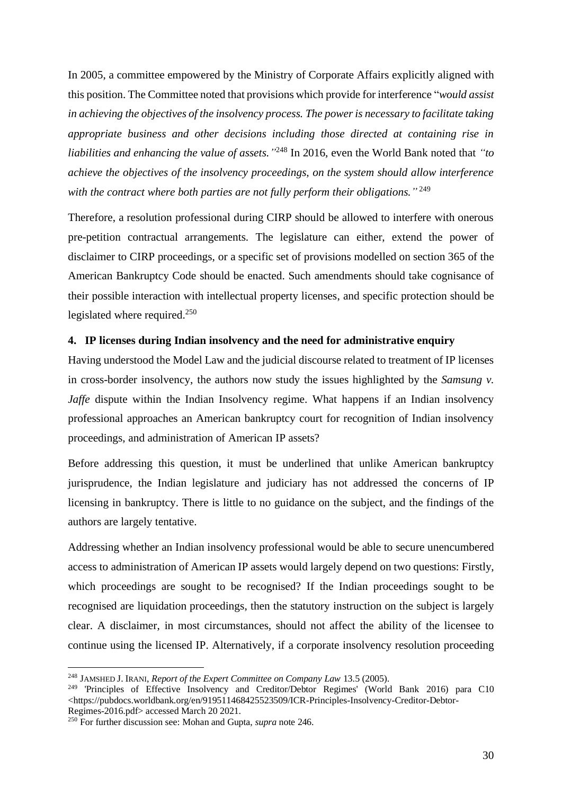In 2005, a committee empowered by the Ministry of Corporate Affairs explicitly aligned with this position. The Committee noted that provisions which provide for interference "*would assist in achieving the objectives of the insolvency process. The power is necessary to facilitate taking appropriate business and other decisions including those directed at containing rise in liabilities and enhancing the value of assets."* <sup>248</sup> In 2016, even the World Bank noted that *"to achieve the objectives of the insolvency proceedings, on the system should allow interference with the contract where both parties are not fully perform their obligations."* 249

Therefore, a resolution professional during CIRP should be allowed to interfere with onerous pre-petition contractual arrangements. The legislature can either, extend the power of disclaimer to CIRP proceedings, or a specific set of provisions modelled on section 365 of the American Bankruptcy Code should be enacted. Such amendments should take cognisance of their possible interaction with intellectual property licenses, and specific protection should be legislated where required.<sup>250</sup>

#### <span id="page-31-0"></span>**4. IP licenses during Indian insolvency and the need for administrative enquiry**

Having understood the Model Law and the judicial discourse related to treatment of IP licenses in cross-border insolvency, the authors now study the issues highlighted by the *Samsung v. Jaffe* dispute within the Indian Insolvency regime. What happens if an Indian insolvency professional approaches an American bankruptcy court for recognition of Indian insolvency proceedings, and administration of American IP assets?

Before addressing this question, it must be underlined that unlike American bankruptcy jurisprudence, the Indian legislature and judiciary has not addressed the concerns of IP licensing in bankruptcy. There is little to no guidance on the subject, and the findings of the authors are largely tentative.

Addressing whether an Indian insolvency professional would be able to secure unencumbered access to administration of American IP assets would largely depend on two questions: Firstly, which proceedings are sought to be recognised? If the Indian proceedings sought to be recognised are liquidation proceedings, then the statutory instruction on the subject is largely clear. A disclaimer, in most circumstances, should not affect the ability of the licensee to continue using the licensed IP. Alternatively, if a corporate insolvency resolution proceeding

<sup>248</sup> JAMSHED J. IRANI, *Report of the Expert Committee on Company Law* 13.5 (2005).

<sup>&</sup>lt;sup>249</sup> 'Principles of Effective Insolvency and Creditor/Debtor Regimes' (World Bank 2016) para C10 <https://pubdocs.worldbank.org/en/919511468425523509/ICR-Principles-Insolvency-Creditor-Debtor-Regimes-2016.pdf> accessed March 20 2021.

<sup>250</sup> For further discussion see: Mohan and Gupta, *supra* note 246.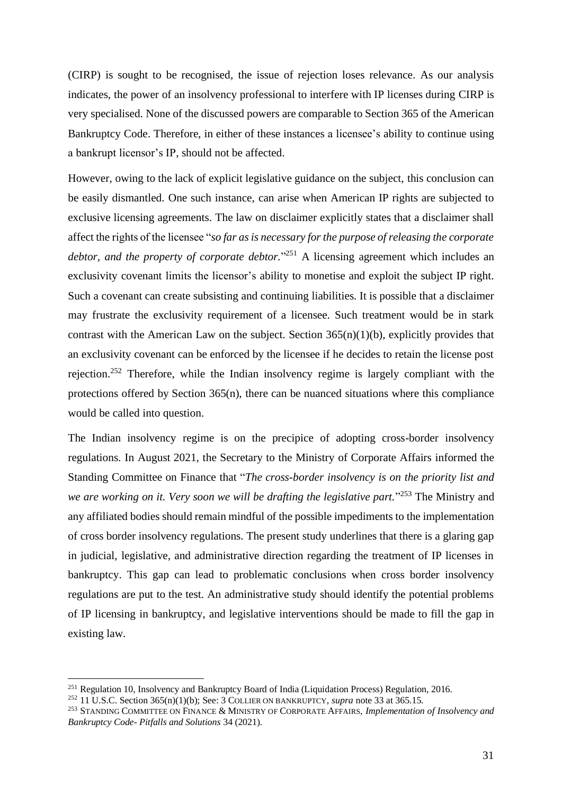(CIRP) is sought to be recognised, the issue of rejection loses relevance. As our analysis indicates, the power of an insolvency professional to interfere with IP licenses during CIRP is very specialised. None of the discussed powers are comparable to Section 365 of the American Bankruptcy Code. Therefore, in either of these instances a licensee's ability to continue using a bankrupt licensor's IP, should not be affected.

However, owing to the lack of explicit legislative guidance on the subject, this conclusion can be easily dismantled. One such instance, can arise when American IP rights are subjected to exclusive licensing agreements. The law on disclaimer explicitly states that a disclaimer shall affect the rights of the licensee "*so far as is necessary for the purpose of releasing the corporate debtor, and the property of corporate debtor.*" <sup>251</sup> A licensing agreement which includes an exclusivity covenant limits the licensor's ability to monetise and exploit the subject IP right. Such a covenant can create subsisting and continuing liabilities. It is possible that a disclaimer may frustrate the exclusivity requirement of a licensee. Such treatment would be in stark contrast with the American Law on the subject. Section  $365(n)(1)(b)$ , explicitly provides that an exclusivity covenant can be enforced by the licensee if he decides to retain the license post rejection.<sup>252</sup> Therefore, while the Indian insolvency regime is largely compliant with the protections offered by Section 365(n), there can be nuanced situations where this compliance would be called into question.

The Indian insolvency regime is on the precipice of adopting cross-border insolvency regulations. In August 2021, the Secretary to the Ministry of Corporate Affairs informed the Standing Committee on Finance that "*The cross-border insolvency is on the priority list and we are working on it. Very soon we will be drafting the legislative part.*" <sup>253</sup> The Ministry and any affiliated bodies should remain mindful of the possible impediments to the implementation of cross border insolvency regulations. The present study underlines that there is a glaring gap in judicial, legislative, and administrative direction regarding the treatment of IP licenses in bankruptcy. This gap can lead to problematic conclusions when cross border insolvency regulations are put to the test. An administrative study should identify the potential problems of IP licensing in bankruptcy, and legislative interventions should be made to fill the gap in existing law.

<sup>&</sup>lt;sup>251</sup> Regulation 10, Insolvency and Bankruptcy Board of India (Liquidation Process) Regulation, 2016.

<sup>&</sup>lt;sup>252</sup> 11 U.S.C. Section 365(n)(1)(b); See: 3 COLLIER ON BANKRUPTCY, *supra* note 33 at 365.15.

<sup>253</sup> STANDING COMMITTEE ON FINANCE & MINISTRY OF CORPORATE AFFAIRS, *Implementation of Insolvency and Bankruptcy Code- Pitfalls and Solutions* 34 (2021).